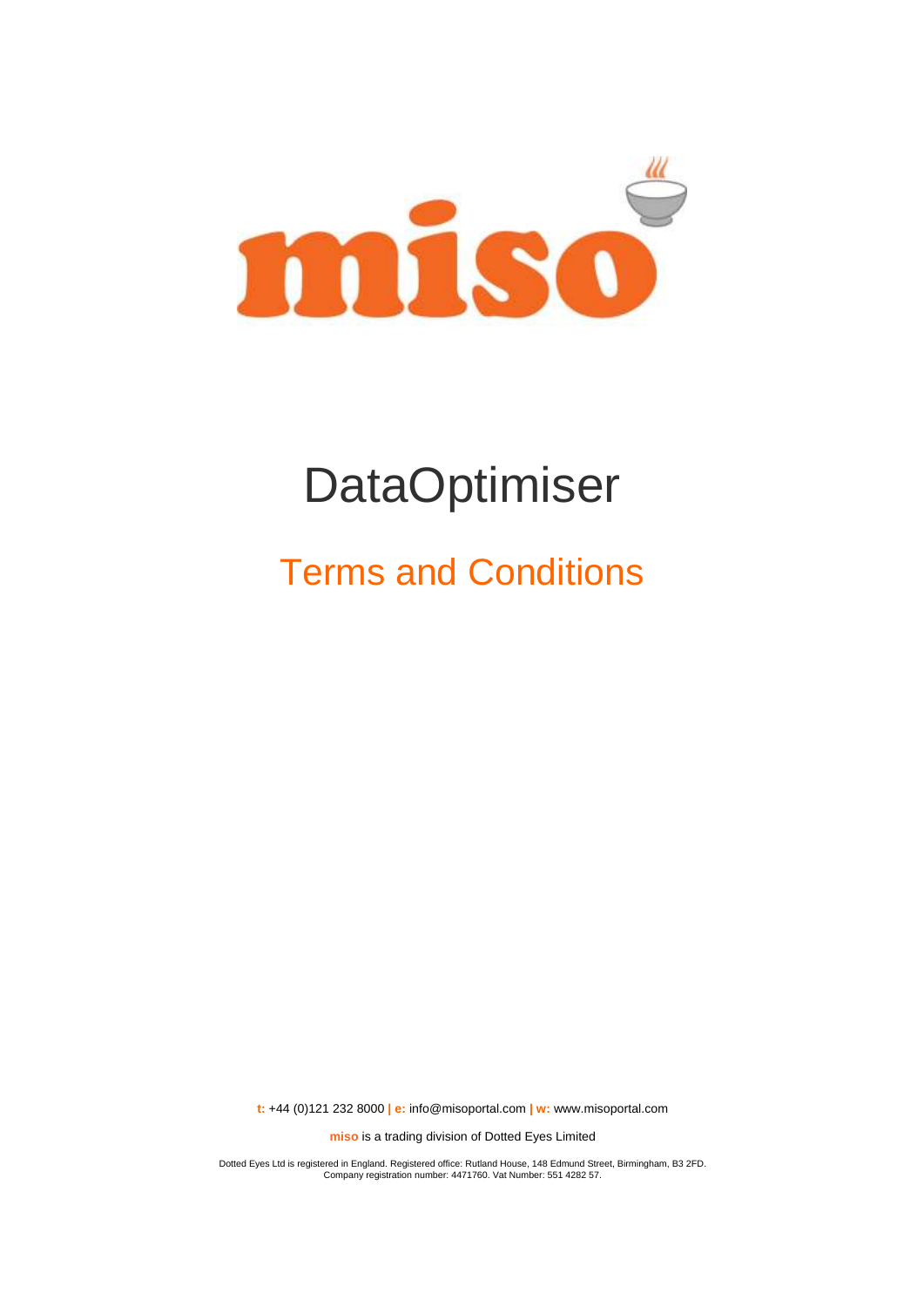

# **DataOptimiser**

## Terms and Conditions

**t:** +44 (0)121 232 8000 **| e:** [info@misoportal.com](mailto:info@misoportal.com) **| w:** [www.misoportal.com](http://www.misoportal.com/)

**miso** is a trading division of Dotted Eyes Limited

Dotted Eyes Ltd is registered in England. Registered office: Rutland House, 148 Edmund Street, Birmingham, B3 2FD. Company registration number: 4471760. Vat Number: 551 4282 57.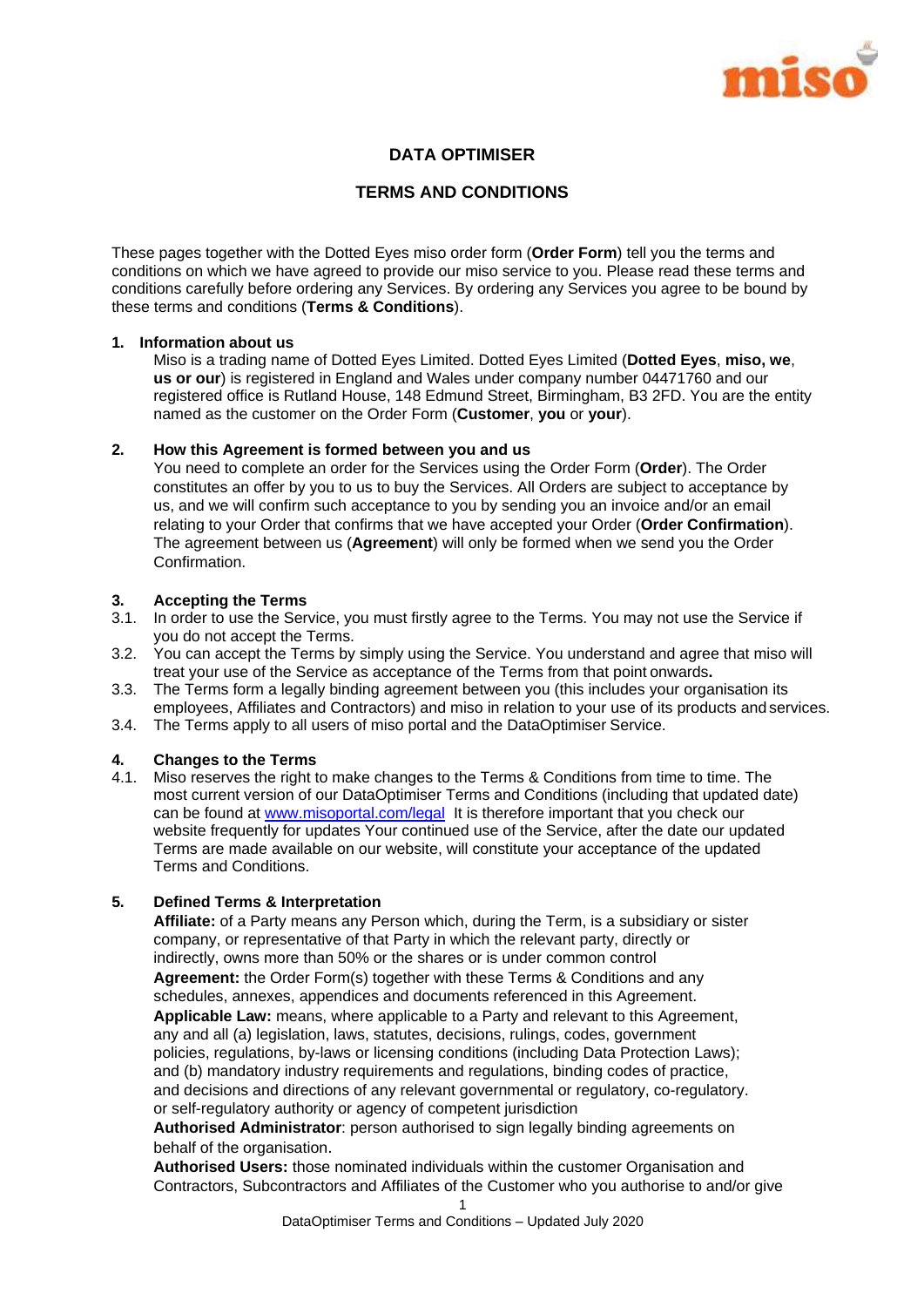

## **DATA OPTIMISER**

#### **TERMS AND CONDITIONS**

These pages together with the Dotted Eyes miso order form (**Order Form**) tell you the terms and conditions on which we have agreed to provide our miso service to you. Please read these terms and conditions carefully before ordering any Services. By ordering any Services you agree to be bound by these terms and conditions (**Terms & Conditions**).

#### **1. Information about us**

Miso is a trading name of Dotted Eyes Limited. Dotted Eyes Limited (**Dotted Eyes**, **miso, we**, **us or our**) is registered in England and Wales under company number 04471760 and our registered office is Rutland House, 148 Edmund Street, Birmingham, B3 2FD. You are the entity named as the customer on the Order Form (**Customer**, **you** or **your**).

#### **2. How this Agreement is formed between you and us**

You need to complete an order for the Services using the Order Form (**Order**). The Order constitutes an offer by you to us to buy the Services. All Orders are subject to acceptance by us, and we will confirm such acceptance to you by sending you an invoice and/or an email relating to your Order that confirms that we have accepted your Order (**Order Confirmation**). The agreement between us (**Agreement**) will only be formed when we send you the Order Confirmation.

#### **3. Accepting the Terms**

- 3.1. In order to use the Service, you must firstly agree to the Terms. You may not use the Service if you do not accept the Terms.
- 3.2. You can accept the Terms by simply using the Service. You understand and agree that miso will treat your use of the Service as acceptance of the Terms from that point onwards**.**
- 3.3. The Terms form a legally binding agreement between you (this includes your organisation its employees, Affiliates and Contractors) and miso in relation to your use of its products and services.
- 3.4. The Terms apply to all users of miso portal and the DataOptimiser Service.

#### **4. Changes to the Terms**

4.1. Miso reserves the right to make changes to the Terms & Conditions from time to time. The most current version of our DataOptimiser Terms and Conditions (including that updated date) can be found at [www.misoportal.com/legal](http://www.misoportal.com/legal) It is therefore important that you check our website frequently for updates Your continued use of the Service, after the date our updated Terms are made available on our website, will constitute your acceptance of the updated Terms and Conditions.

#### **5. Defined Terms & Interpretation**

**Affiliate:** of a Party means any Person which, during the Term, is a subsidiary or sister company, or representative of that Party in which the relevant party, directly or indirectly, owns more than 50% or the shares or is under common control **Agreement:** the Order Form(s) together with these Terms & Conditions and any schedules, annexes, appendices and documents referenced in this Agreement. **Applicable Law:** means, where applicable to a Party and relevant to this Agreement, any and all (a) legislation, laws, statutes, decisions, rulings, codes, government policies, regulations, by-laws or licensing conditions (including Data Protection Laws); and (b) mandatory industry requirements and regulations, binding codes of practice, and decisions and directions of any relevant governmental or regulatory, co-regulatory. or self-regulatory authority or agency of competent jurisdiction

**Authorised Administrator**: person authorised to sign legally binding agreements on behalf of the organisation.

**Authorised Users:** those nominated individuals within the customer Organisation and Contractors, Subcontractors and Affiliates of the Customer who you authorise to and/or give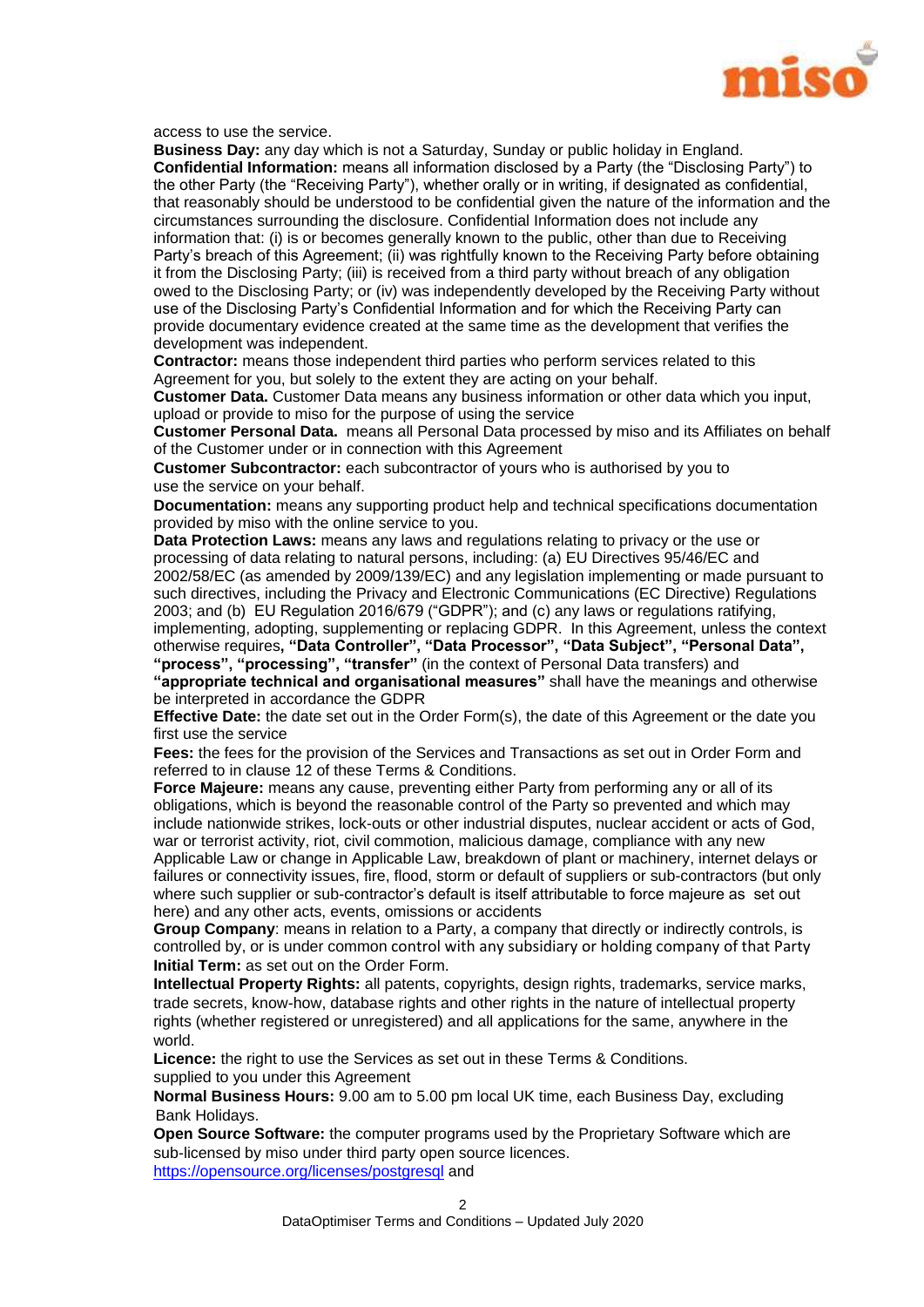

access to use the service.

**Business Day:** any day which is not a Saturday, Sunday or public holiday in England. **Confidential Information:** means all information disclosed by a Party (the "Disclosing Party") to the other Party (the "Receiving Party"), whether orally or in writing, if designated as confidential, that reasonably should be understood to be confidential given the nature of the information and the circumstances surrounding the disclosure. Confidential Information does not include any information that: (i) is or becomes generally known to the public, other than due to Receiving Party's breach of this Agreement; (ii) was rightfully known to the Receiving Party before obtaining it from the Disclosing Party; (iii) is received from a third party without breach of any obligation owed to the Disclosing Party; or (iv) was independently developed by the Receiving Party without use of the Disclosing Party's Confidential Information and for which the Receiving Party can provide documentary evidence created at the same time as the development that verifies the development was independent.

**Contractor:** means those independent third parties who perform services related to this Agreement for you, but solely to the extent they are acting on your behalf.

**Customer Data.** Customer Data means any business information or other data which you input, upload or provide to miso for the purpose of using the service

**Customer Personal Data.** means all Personal Data processed by miso and its Affiliates on behalf of the Customer under or in connection with this Agreement

**Customer Subcontractor:** each subcontractor of yours who is authorised by you to use the service on your behalf.

**Documentation:** means any supporting product help and technical specifications documentation provided by miso with the online service to you.

**Data Protection Laws:** means any laws and regulations relating to privacy or the use or processing of data relating to natural persons, including: (a) EU Directives 95/46/EC and 2002/58/EC (as amended by 2009/139/EC) and any legislation implementing or made pursuant to such directives, including the Privacy and Electronic Communications (EC Directive) Regulations 2003; and (b) EU Regulation 2016/679 ("GDPR"); and (c) any laws or regulations ratifying, implementing, adopting, supplementing or replacing GDPR. In this Agreement, unless the context otherwise requires**, "Data Controller", "Data Processor", "Data Subject", "Personal Data", "process", "processing", "transfer"** (in the context of Personal Data transfers) and **"appropriate technical and organisational measures"** shall have the meanings and otherwise be interpreted in accordance the GDPR

**Effective Date:** the date set out in the Order Form(s), the date of this Agreement or the date you first use the service

**Fees:** the fees for the provision of the Services and Transactions as set out in Order Form and referred to in clause 12 of these Terms & Conditions.

**Force Majeure:** means any cause, preventing either Party from performing any or all of its obligations, which is beyond the reasonable control of the Party so prevented and which may include nationwide strikes, lock-outs or other industrial disputes, nuclear accident or acts of God, war or terrorist activity, riot, civil commotion, malicious damage, compliance with any new Applicable Law or change in Applicable Law, breakdown of plant or machinery, internet delays or failures or connectivity issues, fire, flood, storm or default of suppliers or sub-contractors (but only where such supplier or sub-contractor's default is itself attributable to force majeure as set out here) and any other acts, events, omissions or accidents

**Group Company**: means in relation to a Party, a company that directly or indirectly controls, is controlled by, or is under common control with any subsidiary or holding company of that Party **Initial Term:** as set out on the Order Form.

**Intellectual Property Rights:** all patents, copyrights, design rights, trademarks, service marks, trade secrets, know-how, database rights and other rights in the nature of intellectual property rights (whether registered or unregistered) and all applications for the same, anywhere in the world.

**Licence:** the right to use the Services as set out in these Terms & Conditions. supplied to you under this Agreement

**Normal Business Hours:** 9.00 am to 5.00 pm local UK time, each Business Day, excluding Bank Holidays.

**Open Source Software:** the computer programs used by the Proprietary Software which are sub-licensed by miso under third party open source licences. <https://opensource.org/licenses/postgresql> and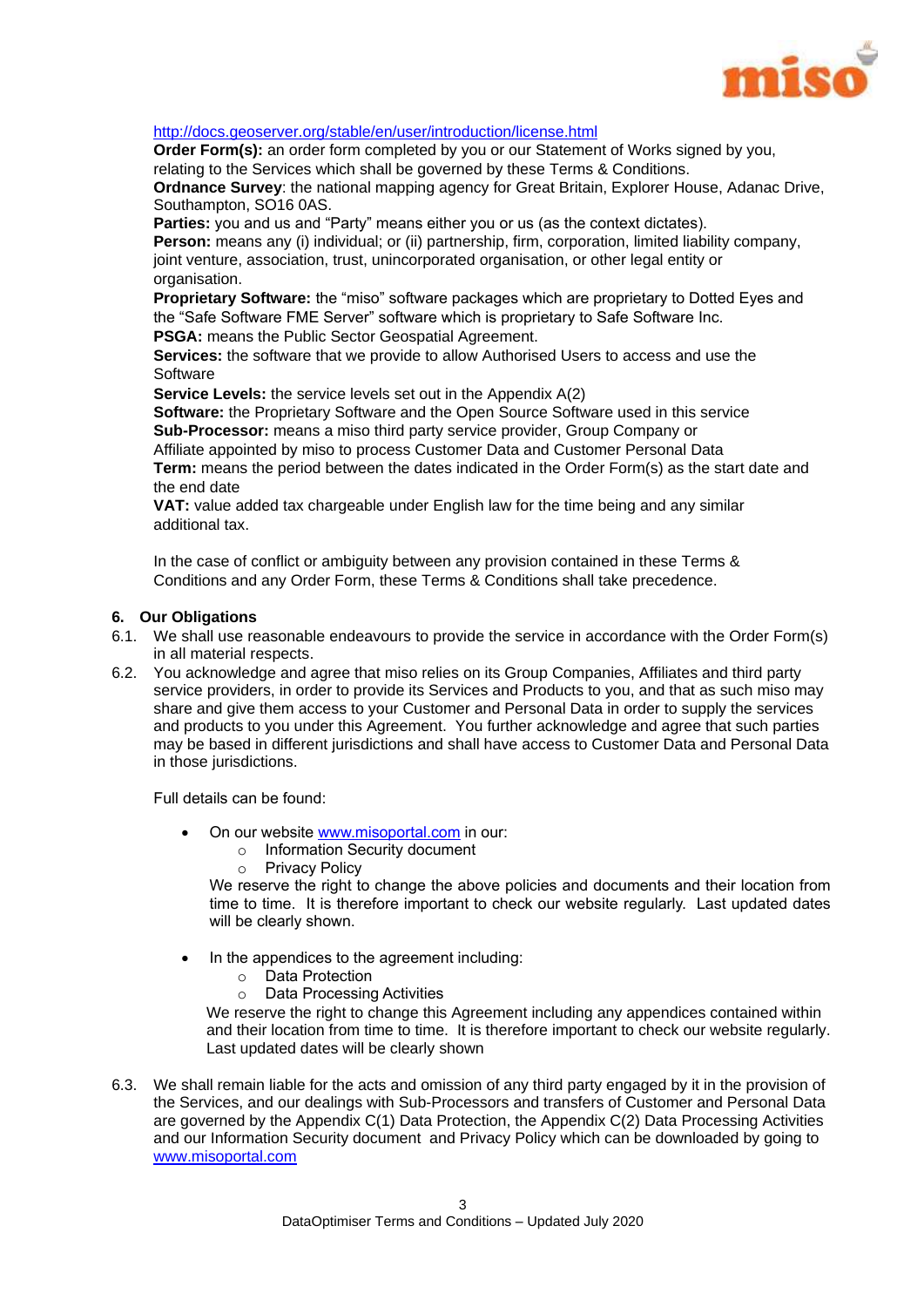

#### <http://docs.geoserver.org/stable/en/user/introduction/license.html>

**Order Form(s):** an order form completed by you or our Statement of Works signed by you, relating to the Services which shall be governed by these Terms & Conditions.

**Ordnance Survey**: the national mapping agency for Great Britain, Explorer House, Adanac Drive, Southampton, SO16 0AS.

Parties: you and us and "Party" means either you or us (as the context dictates).

**Person:** means any (i) individual; or (ii) partnership, firm, corporation, limited liability company, joint venture, association, trust, unincorporated organisation, or other legal entity or organisation.

**Proprietary Software:** the "miso" software packages which are proprietary to Dotted Eyes and the "Safe Software FME Server" software which is proprietary to Safe Software Inc.

**PSGA:** means the Public Sector Geospatial Agreement.

**Services:** the software that we provide to allow Authorised Users to access and use the Software

**Service Levels:** the service levels set out in the Appendix A(2)

**Software:** the Proprietary Software and the Open Source Software used in this service **Sub-Processor:** means a miso third party service provider, Group Company or Affiliate appointed by miso to process Customer Data and Customer Personal Data **Term:** means the period between the dates indicated in the Order Form(s) as the start date and the end date

**VAT:** value added tax chargeable under English law for the time being and any similar additional tax.

In the case of conflict or ambiguity between any provision contained in these Terms & Conditions and any Order Form, these Terms & Conditions shall take precedence.

#### **6. Our Obligations**

- 6.1. We shall use reasonable endeavours to provide the service in accordance with the Order Form(s) in all material respects.
- 6.2. You acknowledge and agree that miso relies on its Group Companies, Affiliates and third party service providers, in order to provide its Services and Products to you, and that as such miso may share and give them access to your Customer and Personal Data in order to supply the services and products to you under this Agreement. You further acknowledge and agree that such parties may be based in different jurisdictions and shall have access to Customer Data and Personal Data in those jurisdictions.

Full details can be found:

- On our website www.misoportal.com in our:
	- o Information Security document
	- o Privacy Policy

We reserve the right to change the above policies and documents and their location from time to time. It is therefore important to check our website regularly. Last updated dates will be clearly shown.

- In the appendices to the agreement including:
	- o Data Protection
	- o Data Processing Activities

We reserve the right to change this Agreement including any appendices contained within and their location from time to time. It is therefore important to check our website regularly. Last updated dates will be clearly shown

6.3. We shall remain liable for the acts and omission of any third party engaged by it in the provision of the Services, and our dealings with Sub-Processors and transfers of Customer and Personal Data are governed by the Appendix C(1) Data Protection, the Appendix C(2) Data Processing Activities and our Information Security document and Privacy Policy which can be downloaded by going to www.misoportal.com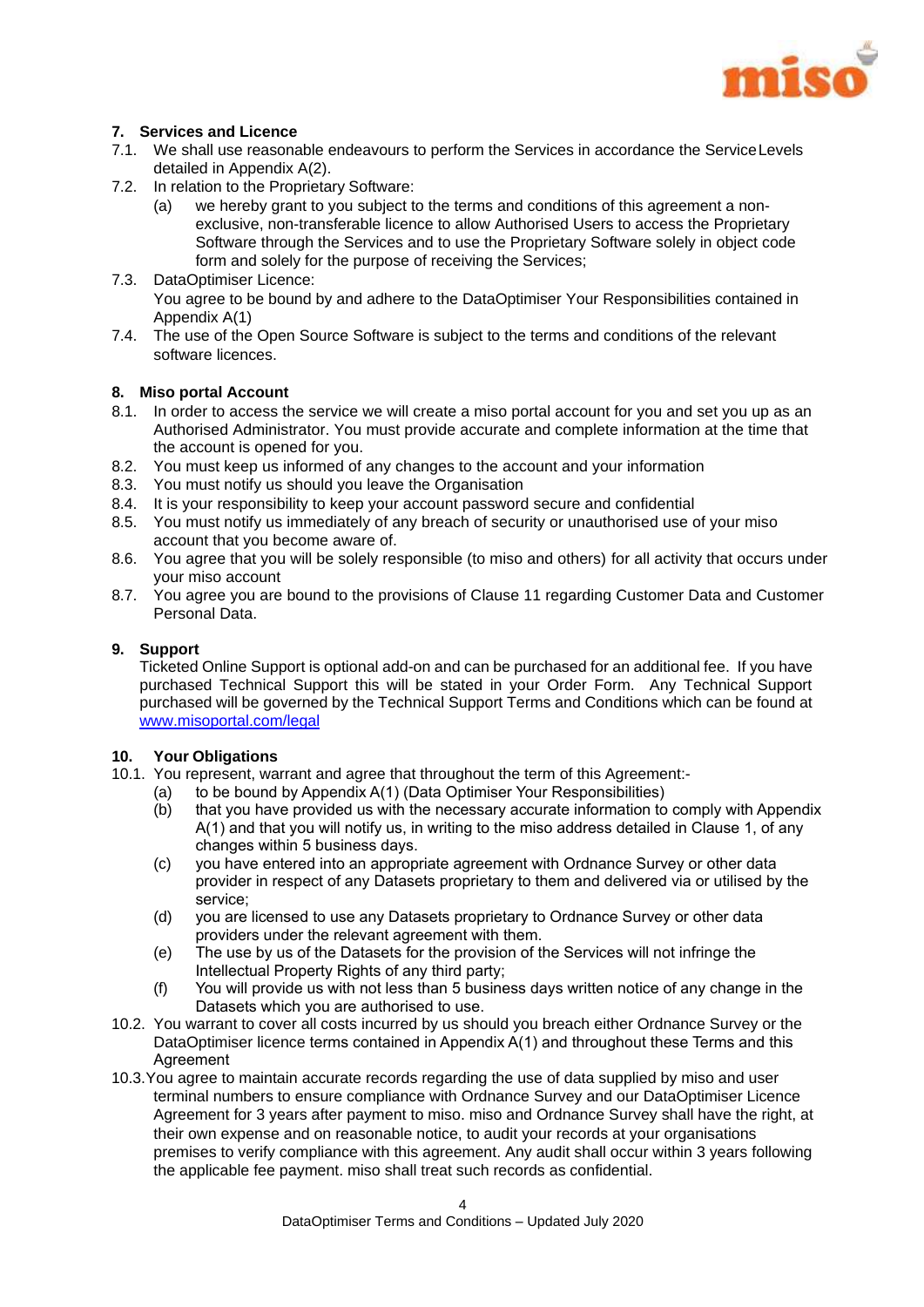

#### **7. Services and Licence**

- 7.1. We shall use reasonable endeavours to perform the Services in accordance the ServiceLevels detailed in Appendix A(2).
- 7.2. In relation to the Proprietary Software:
	- (a) we hereby grant to you subject to the terms and conditions of this agreement a nonexclusive, non-transferable licence to allow Authorised Users to access the Proprietary Software through the Services and to use the Proprietary Software solely in object code form and solely for the purpose of receiving the Services;
- 7.3. DataOptimiser Licence: You agree to be bound by and adhere to the DataOptimiser Your Responsibilities contained in Appendix A(1)
- 7.4. The use of the Open Source Software is subject to the terms and conditions of the relevant software licences.

#### **8. Miso portal Account**

- 8.1. In order to access the service we will create a miso portal account for you and set you up as an Authorised Administrator. You must provide accurate and complete information at the time that the account is opened for you.
- 8.2. You must keep us informed of any changes to the account and your information
- 8.3. You must notify us should you leave the Organisation
- 8.4. It is your responsibility to keep your account password secure and confidential
- 8.5. You must notify us immediately of any breach of security or unauthorised use of your miso account that you become aware of.
- 8.6. You agree that you will be solely responsible (to miso and others) for all activity that occurs under your miso account
- 8.7. You agree you are bound to the provisions of Clause 11 regarding Customer Data and Customer Personal Data.

#### **9. Support**

Ticketed Online Support is optional add-on and can be purchased for an additional fee. If you have purchased Technical Support this will be stated in your Order Form. Any Technical Support purchased will be governed by the Technical Support Terms and Conditions which can be found at [www.misoportal.com/legal](http://www.misportal.com/legal)

#### **10. Your Obligations**

- 10.1. You represent, warrant and agree that throughout the term of this Agreement:-
	- (a) to be bound by Appendix A(1) (Data Optimiser Your Responsibilities)
	- (b) that you have provided us with the necessary accurate information to comply with Appendix A(1) and that you will notify us, in writing to the miso address detailed in Clause 1, of any changes within 5 business days.
	- (c) you have entered into an appropriate agreement with Ordnance Survey or other data provider in respect of any Datasets proprietary to them and delivered via or utilised by the service;
	- (d) you are licensed to use any Datasets proprietary to Ordnance Survey or other data providers under the relevant agreement with them.
	- (e) The use by us of the Datasets for the provision of the Services will not infringe the Intellectual Property Rights of any third party;
	- (f) You will provide us with not less than 5 business days written notice of any change in the Datasets which you are authorised to use.
- 10.2. You warrant to cover all costs incurred by us should you breach either Ordnance Survey or the DataOptimiser licence terms contained in Appendix A(1) and throughout these Terms and this **Agreement**
- 10.3.You agree to maintain accurate records regarding the use of data supplied by miso and user terminal numbers to ensure compliance with Ordnance Survey and our DataOptimiser Licence Agreement for 3 years after payment to miso. miso and Ordnance Survey shall have the right, at their own expense and on reasonable notice, to audit your records at your organisations premises to verify compliance with this agreement. Any audit shall occur within 3 years following the applicable fee payment. miso shall treat such records as confidential.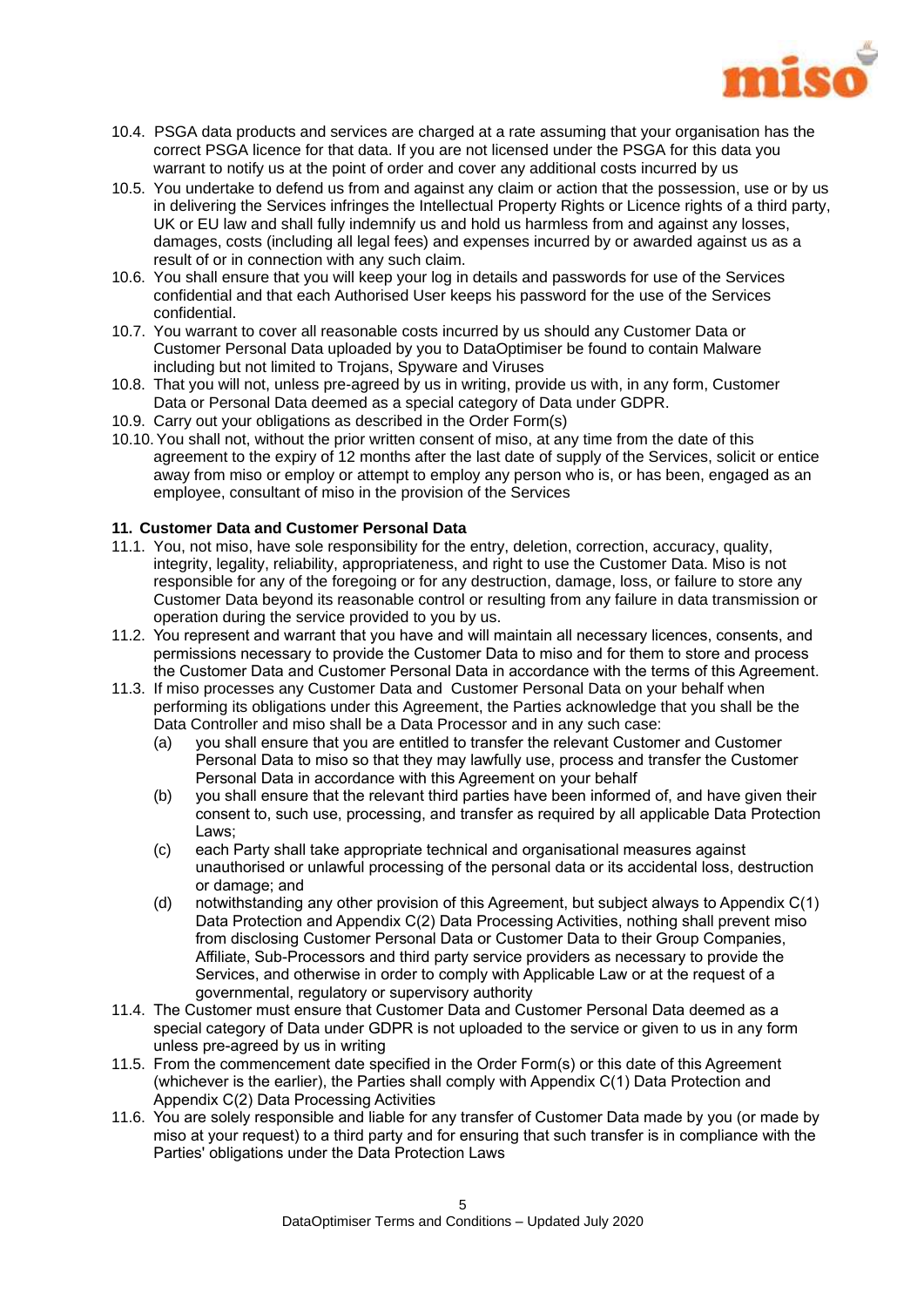

- 10.4. PSGA data products and services are charged at a rate assuming that your organisation has the correct PSGA licence for that data. If you are not licensed under the PSGA for this data you warrant to notify us at the point of order and cover any additional costs incurred by us
- 10.5. You undertake to defend us from and against any claim or action that the possession, use or by us in delivering the Services infringes the Intellectual Property Rights or Licence rights of a third party, UK or EU law and shall fully indemnify us and hold us harmless from and against any losses, damages, costs (including all legal fees) and expenses incurred by or awarded against us as a result of or in connection with any such claim.
- 10.6. You shall ensure that you will keep your log in details and passwords for use of the Services confidential and that each Authorised User keeps his password for the use of the Services confidential.
- 10.7. You warrant to cover all reasonable costs incurred by us should any Customer Data or Customer Personal Data uploaded by you to DataOptimiser be found to contain Malware including but not limited to Trojans, Spyware and Viruses
- 10.8. That you will not, unless pre-agreed by us in writing, provide us with, in any form, Customer Data or Personal Data deemed as a special category of Data under GDPR.
- 10.9. Carry out your obligations as described in the Order Form(s)
- 10.10.You shall not, without the prior written consent of miso, at any time from the date of this agreement to the expiry of 12 months after the last date of supply of the Services, solicit or entice away from miso or employ or attempt to employ any person who is, or has been, engaged as an employee, consultant of miso in the provision of the Services

#### **11. Customer Data and Customer Personal Data**

- 11.1. You, not miso, have sole responsibility for the entry, deletion, correction, accuracy, quality, integrity, legality, reliability, appropriateness, and right to use the Customer Data. Miso is not responsible for any of the foregoing or for any destruction, damage, loss, or failure to store any Customer Data beyond its reasonable control or resulting from any failure in data transmission or operation during the service provided to you by us.
- 11.2. You represent and warrant that you have and will maintain all necessary licences, consents, and permissions necessary to provide the Customer Data to miso and for them to store and process the Customer Data and Customer Personal Data in accordance with the terms of this Agreement.
- 11.3. If miso processes any Customer Data and Customer Personal Data on your behalf when performing its obligations under this Agreement, the Parties acknowledge that you shall be the Data Controller and miso shall be a Data Processor and in any such case:
	- (a) you shall ensure that you are entitled to transfer the relevant Customer and Customer Personal Data to miso so that they may lawfully use, process and transfer the Customer Personal Data in accordance with this Agreement on your behalf
	- (b) you shall ensure that the relevant third parties have been informed of, and have given their consent to, such use, processing, and transfer as required by all applicable Data Protection Laws;
	- (c) each Party shall take appropriate technical and organisational measures against unauthorised or unlawful processing of the personal data or its accidental loss, destruction or damage; and
	- (d) notwithstanding any other provision of this Agreement, but subject always to Appendix C(1) Data Protection and Appendix C(2) Data Processing Activities, nothing shall prevent miso from disclosing Customer Personal Data or Customer Data to their Group Companies, Affiliate, Sub-Processors and third party service providers as necessary to provide the Services, and otherwise in order to comply with Applicable Law or at the request of a governmental, regulatory or supervisory authority
- 11.4. The Customer must ensure that Customer Data and Customer Personal Data deemed as a special category of Data under GDPR is not uploaded to the service or given to us in any form unless pre-agreed by us in writing
- 11.5. From the commencement date specified in the Order Form(s) or this date of this Agreement (whichever is the earlier), the Parties shall comply with Appendix C(1) Data Protection and Appendix C(2) Data Processing Activities
- 11.6. You are solely responsible and liable for any transfer of Customer Data made by you (or made by miso at your request) to a third party and for ensuring that such transfer is in compliance with the Parties' obligations under the Data Protection Laws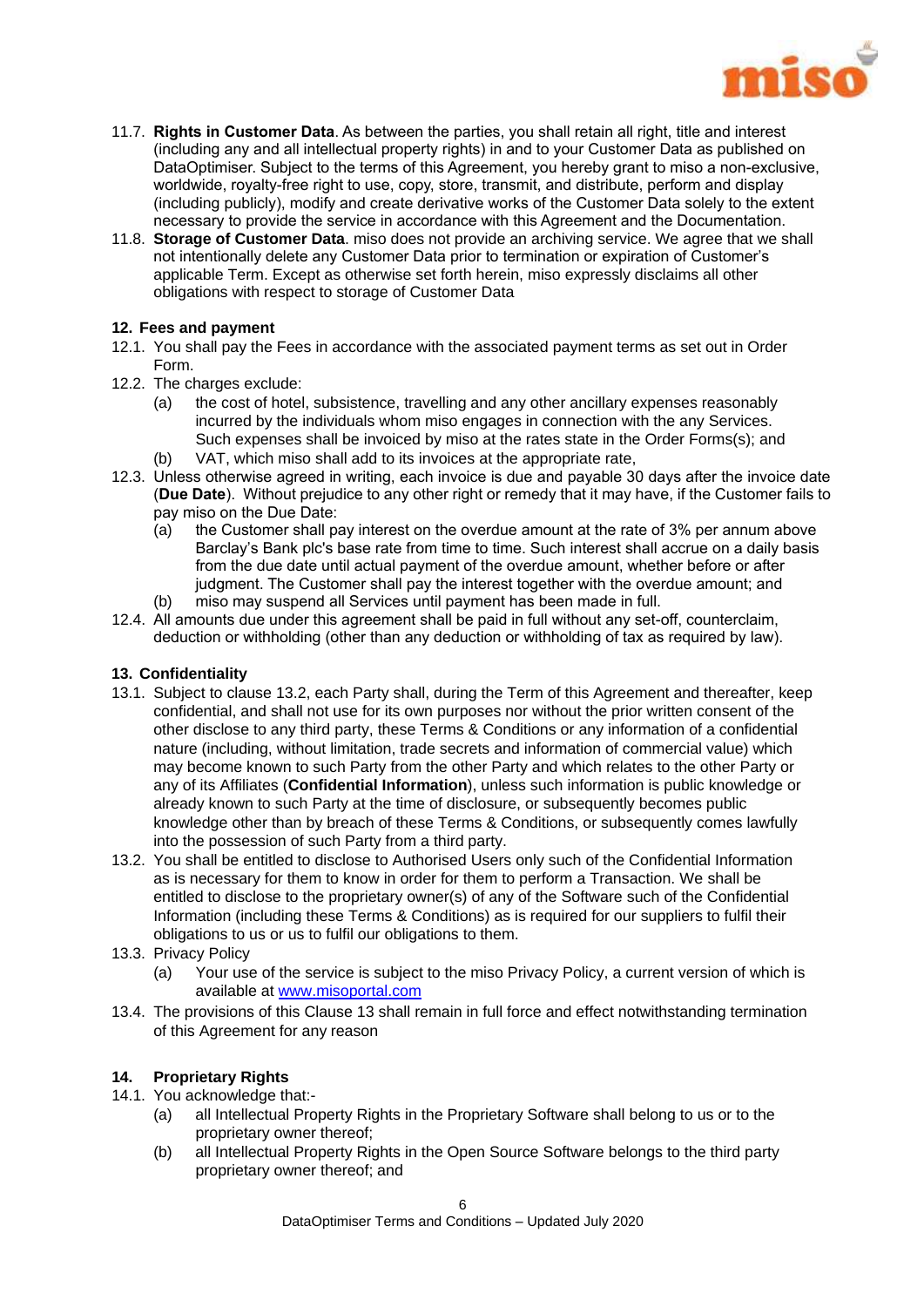

- 11.7. **Rights in Customer Data**. As between the parties, you shall retain all right, title and interest (including any and all intellectual property rights) in and to your Customer Data as published on DataOptimiser. Subject to the terms of this Agreement, you hereby grant to miso a non-exclusive, worldwide, royalty-free right to use, copy, store, transmit, and distribute, perform and display (including publicly), modify and create derivative works of the Customer Data solely to the extent necessary to provide the service in accordance with this Agreement and the Documentation.
- 11.8. **Storage of Customer Data**. miso does not provide an archiving service. We agree that we shall not intentionally delete any Customer Data prior to termination or expiration of Customer's applicable Term. Except as otherwise set forth herein, miso expressly disclaims all other obligations with respect to storage of Customer Data

#### **12. Fees and payment**

- 12.1. You shall pay the Fees in accordance with the associated payment terms as set out in Order Form.
- 12.2. The charges exclude:
	- (a) the cost of hotel, subsistence, travelling and any other ancillary expenses reasonably incurred by the individuals whom miso engages in connection with the any Services. Such expenses shall be invoiced by miso at the rates state in the Order Forms(s); and
	- (b) VAT, which miso shall add to its invoices at the appropriate rate,
- 12.3. Unless otherwise agreed in writing, each invoice is due and payable 30 days after the invoice date (**Due Date**). Without prejudice to any other right or remedy that it may have, if the Customer fails to pay miso on the Due Date:
	- (a) the Customer shall pay interest on the overdue amount at the rate of 3% per annum above Barclay's Bank plc's base rate from time to time. Such interest shall accrue on a daily basis from the due date until actual payment of the overdue amount, whether before or after judgment. The Customer shall pay the interest together with the overdue amount; and (b) miso may suspend all Services until payment has been made in full.
- 12.4. All amounts due under this agreement shall be paid in full without any set-off, counterclaim,
- deduction or withholding (other than any deduction or withholding of tax as required by law).

## **13. Confidentiality**

- 13.1. Subject to clause 13.2, each Party shall, during the Term of this Agreement and thereafter, keep confidential, and shall not use for its own purposes nor without the prior written consent of the other disclose to any third party, these Terms & Conditions or any information of a confidential nature (including, without limitation, trade secrets and information of commercial value) which may become known to such Party from the other Party and which relates to the other Party or any of its Affiliates (**Confidential Information**), unless such information is public knowledge or already known to such Party at the time of disclosure, or subsequently becomes public knowledge other than by breach of these Terms & Conditions, or subsequently comes lawfully into the possession of such Party from a third party.
- 13.2. You shall be entitled to disclose to Authorised Users only such of the Confidential Information as is necessary for them to know in order for them to perform a Transaction. We shall be entitled to disclose to the proprietary owner(s) of any of the Software such of the Confidential Information (including these Terms & Conditions) as is required for our suppliers to fulfil their obligations to us or us to fulfil our obligations to them.
- 13.3. Privacy Policy
	- (a) Your use of the service is subject to the miso Privacy Policy, a current version of which is available at www.misoportal.com
- 13.4. The provisions of this Clause 13 shall remain in full force and effect notwithstanding termination of this Agreement for any reason

## **14. Proprietary Rights**

- 14.1. You acknowledge that:-
	- (a) all Intellectual Property Rights in the Proprietary Software shall belong to us or to the proprietary owner thereof;
	- (b) all Intellectual Property Rights in the Open Source Software belongs to the third party proprietary owner thereof; and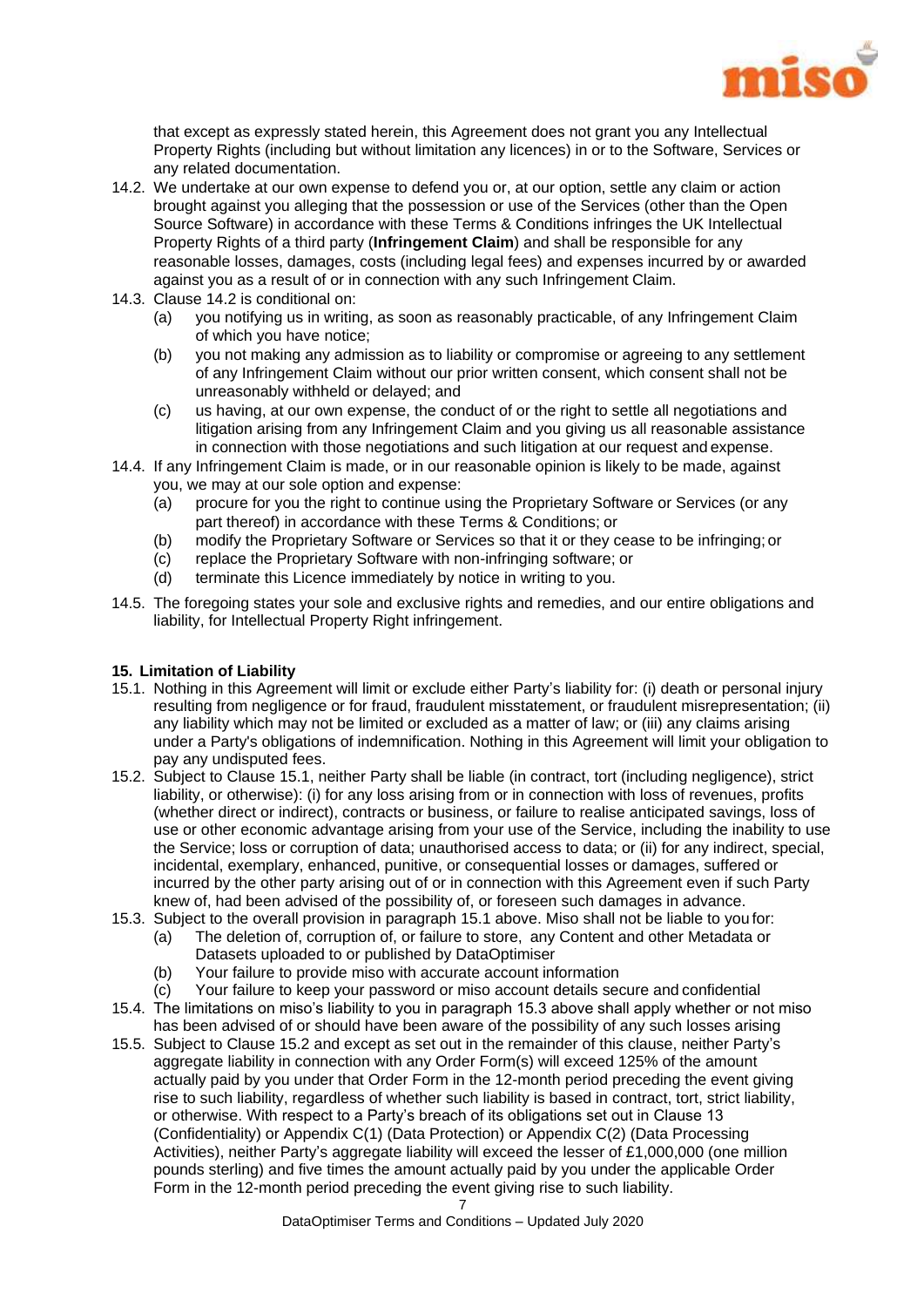

that except as expressly stated herein, this Agreement does not grant you any Intellectual Property Rights (including but without limitation any licences) in or to the Software, Services or any related documentation.

- 14.2. We undertake at our own expense to defend you or, at our option, settle any claim or action brought against you alleging that the possession or use of the Services (other than the Open Source Software) in accordance with these Terms & Conditions infringes the UK Intellectual Property Rights of a third party (**Infringement Claim**) and shall be responsible for any reasonable losses, damages, costs (including legal fees) and expenses incurred by or awarded against you as a result of or in connection with any such Infringement Claim.
- 14.3. Clause 14.2 is conditional on:
	- (a) you notifying us in writing, as soon as reasonably practicable, of any Infringement Claim of which you have notice;
	- (b) you not making any admission as to liability or compromise or agreeing to any settlement of any Infringement Claim without our prior written consent, which consent shall not be unreasonably withheld or delayed; and
	- (c) us having, at our own expense, the conduct of or the right to settle all negotiations and litigation arising from any Infringement Claim and you giving us all reasonable assistance in connection with those negotiations and such litigation at our request and expense.
- 14.4. If any Infringement Claim is made, or in our reasonable opinion is likely to be made, against you, we may at our sole option and expense:
	- (a) procure for you the right to continue using the Proprietary Software or Services (or any part thereof) in accordance with these Terms & Conditions; or
	- (b) modify the Proprietary Software or Services so that it or they cease to be infringing; or
	- (c) replace the Proprietary Software with non-infringing software; or
	- (d) terminate this Licence immediately by notice in writing to you.
- 14.5. The foregoing states your sole and exclusive rights and remedies, and our entire obligations and liability, for Intellectual Property Right infringement.

#### **15. Limitation of Liability**

- 15.1. Nothing in this Agreement will limit or exclude either Party's liability for: (i) death or personal injury resulting from negligence or for fraud, fraudulent misstatement, or fraudulent misrepresentation; (ii) any liability which may not be limited or excluded as a matter of law; or (iii) any claims arising under a Party's obligations of indemnification. Nothing in this Agreement will limit your obligation to pay any undisputed fees.
- 15.2. Subject to Clause 15.1, neither Party shall be liable (in contract, tort (including negligence), strict liability, or otherwise): (i) for any loss arising from or in connection with loss of revenues, profits (whether direct or indirect), contracts or business, or failure to realise anticipated savings, loss of use or other economic advantage arising from your use of the Service, including the inability to use the Service; loss or corruption of data; unauthorised access to data; or (ii) for any indirect, special, incidental, exemplary, enhanced, punitive, or consequential losses or damages, suffered or incurred by the other party arising out of or in connection with this Agreement even if such Party knew of, had been advised of the possibility of, or foreseen such damages in advance.
- 15.3. Subject to the overall provision in paragraph 15.1 above. Miso shall not be liable to you for:
	- (a) The deletion of, corruption of, or failure to store, any Content and other Metadata or Datasets uploaded to or published by DataOptimiser
	- (b) Your failure to provide miso with accurate account information
	- (c) Your failure to keep your password or miso account details secure and confidential
- 15.4. The limitations on miso's liability to you in paragraph 15.3 above shall apply whether or not miso has been advised of or should have been aware of the possibility of any such losses arising
- 15.5. Subject to Clause 15.2 and except as set out in the remainder of this clause, neither Party's aggregate liability in connection with any Order Form(s) will exceed 125% of the amount actually paid by you under that Order Form in the 12-month period preceding the event giving rise to such liability, regardless of whether such liability is based in contract, tort, strict liability, or otherwise. With respect to a Party's breach of its obligations set out in Clause 13 (Confidentiality) or Appendix C(1) (Data Protection) or Appendix C(2) (Data Processing Activities), neither Party's aggregate liability will exceed the lesser of £1,000,000 (one million pounds sterling) and five times the amount actually paid by you under the applicable Order Form in the 12-month period preceding the event giving rise to such liability.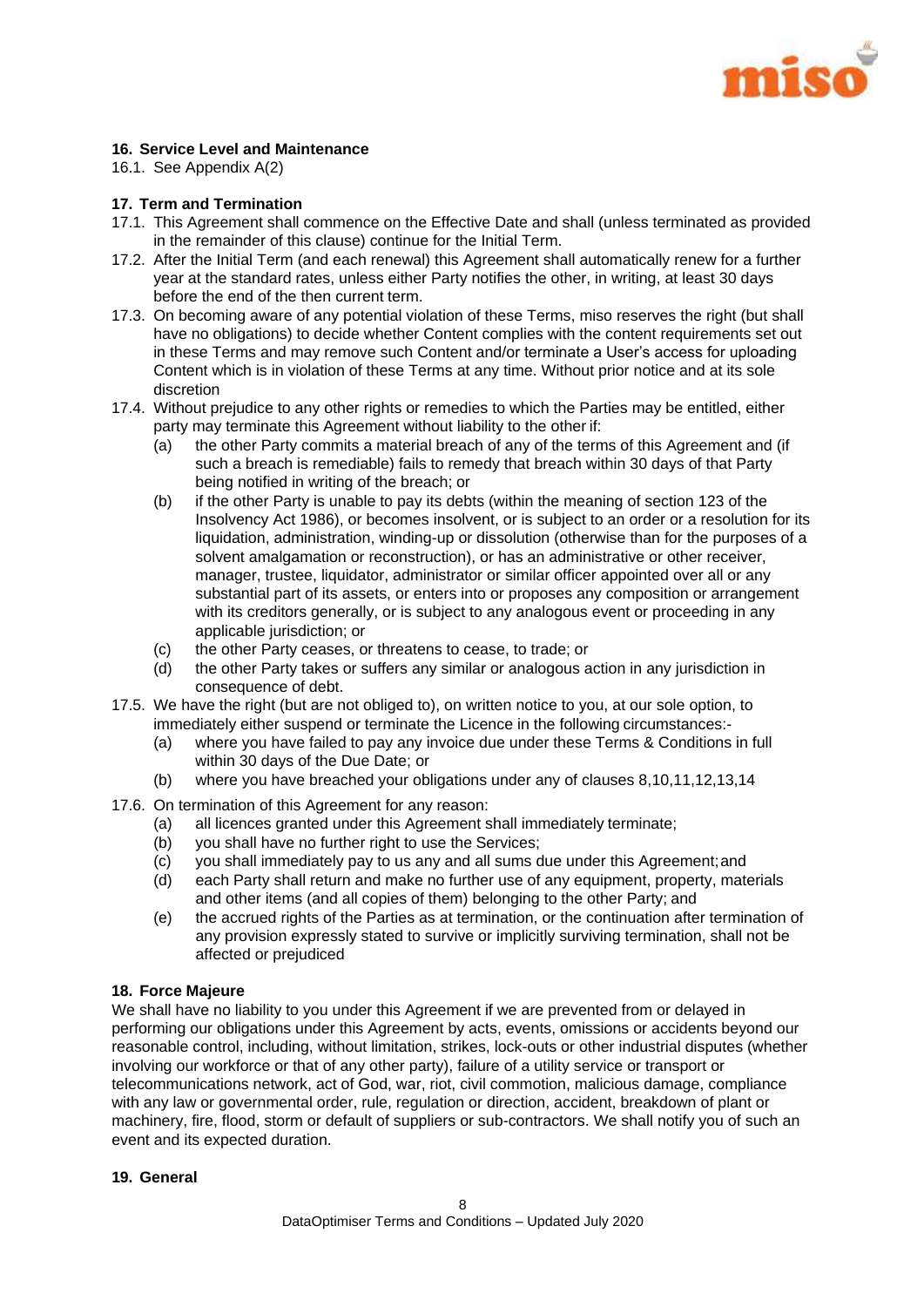

#### **16. Service Level and Maintenance**

16.1. See Appendix A(2)

#### **17. Term and Termination**

- 17.1. This Agreement shall commence on the Effective Date and shall (unless terminated as provided in the remainder of this clause) continue for the Initial Term.
- 17.2. After the Initial Term (and each renewal) this Agreement shall automatically renew for a further year at the standard rates, unless either Party notifies the other, in writing, at least 30 days before the end of the then current term.
- 17.3. On becoming aware of any potential violation of these Terms, miso reserves the right (but shall have no obligations) to decide whether Content complies with the content requirements set out in these Terms and may remove such Content and/or terminate a User's access for uploading Content which is in violation of these Terms at any time. Without prior notice and at its sole discretion
- 17.4. Without prejudice to any other rights or remedies to which the Parties may be entitled, either party may terminate this Agreement without liability to the other if:
	- (a) the other Party commits a material breach of any of the terms of this Agreement and (if such a breach is remediable) fails to remedy that breach within 30 days of that Party being notified in writing of the breach; or
	- (b) if the other Party is unable to pay its debts (within the meaning of section 123 of the Insolvency Act 1986), or becomes insolvent, or is subject to an order or a resolution for its liquidation, administration, winding-up or dissolution (otherwise than for the purposes of a solvent amalgamation or reconstruction), or has an administrative or other receiver, manager, trustee, liquidator, administrator or similar officer appointed over all or any substantial part of its assets, or enters into or proposes any composition or arrangement with its creditors generally, or is subject to any analogous event or proceeding in any applicable jurisdiction; or
	- (c) the other Party ceases, or threatens to cease, to trade; or
	- (d) the other Party takes or suffers any similar or analogous action in any jurisdiction in consequence of debt.
- 17.5. We have the right (but are not obliged to), on written notice to you, at our sole option, to immediately either suspend or terminate the Licence in the following circumstances:-
	- (a) where you have failed to pay any invoice due under these Terms & Conditions in full within 30 days of the Due Date; or
	- (b) where you have breached your obligations under any of clauses 8,10,11,12,13,14
- 17.6. On termination of this Agreement for any reason:
	- (a) all licences granted under this Agreement shall immediately terminate;
	- (b) you shall have no further right to use the Services;
	- (c) you shall immediately pay to us any and all sums due under this Agreement;and
	- (d) each Party shall return and make no further use of any equipment, property, materials and other items (and all copies of them) belonging to the other Party; and
	- (e) the accrued rights of the Parties as at termination, or the continuation after termination of any provision expressly stated to survive or implicitly surviving termination, shall not be affected or prejudiced

#### **18. Force Majeure**

We shall have no liability to you under this Agreement if we are prevented from or delayed in performing our obligations under this Agreement by acts, events, omissions or accidents beyond our reasonable control, including, without limitation, strikes, lock-outs or other industrial disputes (whether involving our workforce or that of any other party), failure of a utility service or transport or telecommunications network, act of God, war, riot, civil commotion, malicious damage, compliance with any law or governmental order, rule, regulation or direction, accident, breakdown of plant or machinery, fire, flood, storm or default of suppliers or sub-contractors. We shall notify you of such an event and its expected duration.

#### **19. General**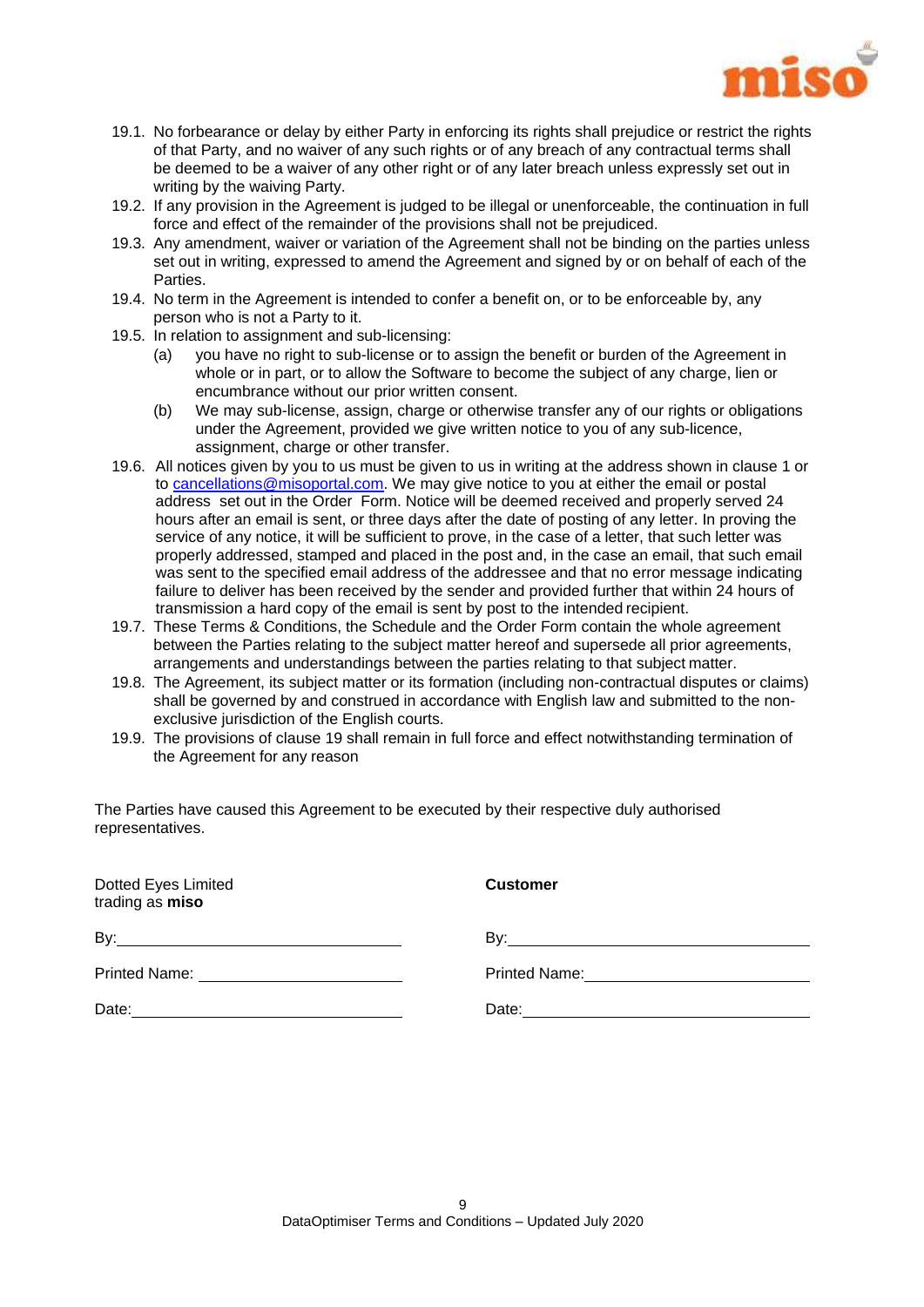

- 19.1. No forbearance or delay by either Party in enforcing its rights shall prejudice or restrict the rights of that Party, and no waiver of any such rights or of any breach of any contractual terms shall be deemed to be a waiver of any other right or of any later breach unless expressly set out in writing by the waiving Party.
- 19.2. If any provision in the Agreement is judged to be illegal or unenforceable, the continuation in full force and effect of the remainder of the provisions shall not be prejudiced.
- 19.3. Any amendment, waiver or variation of the Agreement shall not be binding on the parties unless set out in writing, expressed to amend the Agreement and signed by or on behalf of each of the Parties.
- 19.4. No term in the Agreement is intended to confer a benefit on, or to be enforceable by, any person who is not a Party to it.
- 19.5. In relation to assignment and sub-licensing:
	- (a) you have no right to sub-license or to assign the benefit or burden of the Agreement in whole or in part, or to allow the Software to become the subject of any charge, lien or encumbrance without our prior written consent.
	- (b) We may sub-license, assign, charge or otherwise transfer any of our rights or obligations under the Agreement, provided we give written notice to you of any sub-licence, assignment, charge or other transfer.
- 19.6. All notices given by you to us must be given to us in writing at the address shown in clause 1 or to [cancellations@misoportal.com.](mailto:cancellations@misoportal.com) We may give notice to you at either the email or postal address set out in the Order Form. Notice will be deemed received and properly served 24 hours after an email is sent, or three days after the date of posting of any letter. In proving the service of any notice, it will be sufficient to prove, in the case of a letter, that such letter was properly addressed, stamped and placed in the post and, in the case an email, that such email was sent to the specified email address of the addressee and that no error message indicating failure to deliver has been received by the sender and provided further that within 24 hours of transmission a hard copy of the email is sent by post to the intended recipient.
- 19.7. These Terms & Conditions, the Schedule and the Order Form contain the whole agreement between the Parties relating to the subject matter hereof and supersede all prior agreements, arrangements and understandings between the parties relating to that subject matter.
- 19.8. The Agreement, its subject matter or its formation (including non-contractual disputes or claims) shall be governed by and construed in accordance with English law and submitted to the nonexclusive jurisdiction of the English courts.
- 19.9. The provisions of clause 19 shall remain in full force and effect notwithstanding termination of the Agreement for any reason

The Parties have caused this Agreement to be executed by their respective duly authorised representatives.

| Dotted Eyes Limited<br>trading as miso | <b>Customer</b>   |  |
|----------------------------------------|-------------------|--|
|                                        | By: $\frac{1}{2}$ |  |
|                                        |                   |  |
|                                        | Date: Date:       |  |
|                                        |                   |  |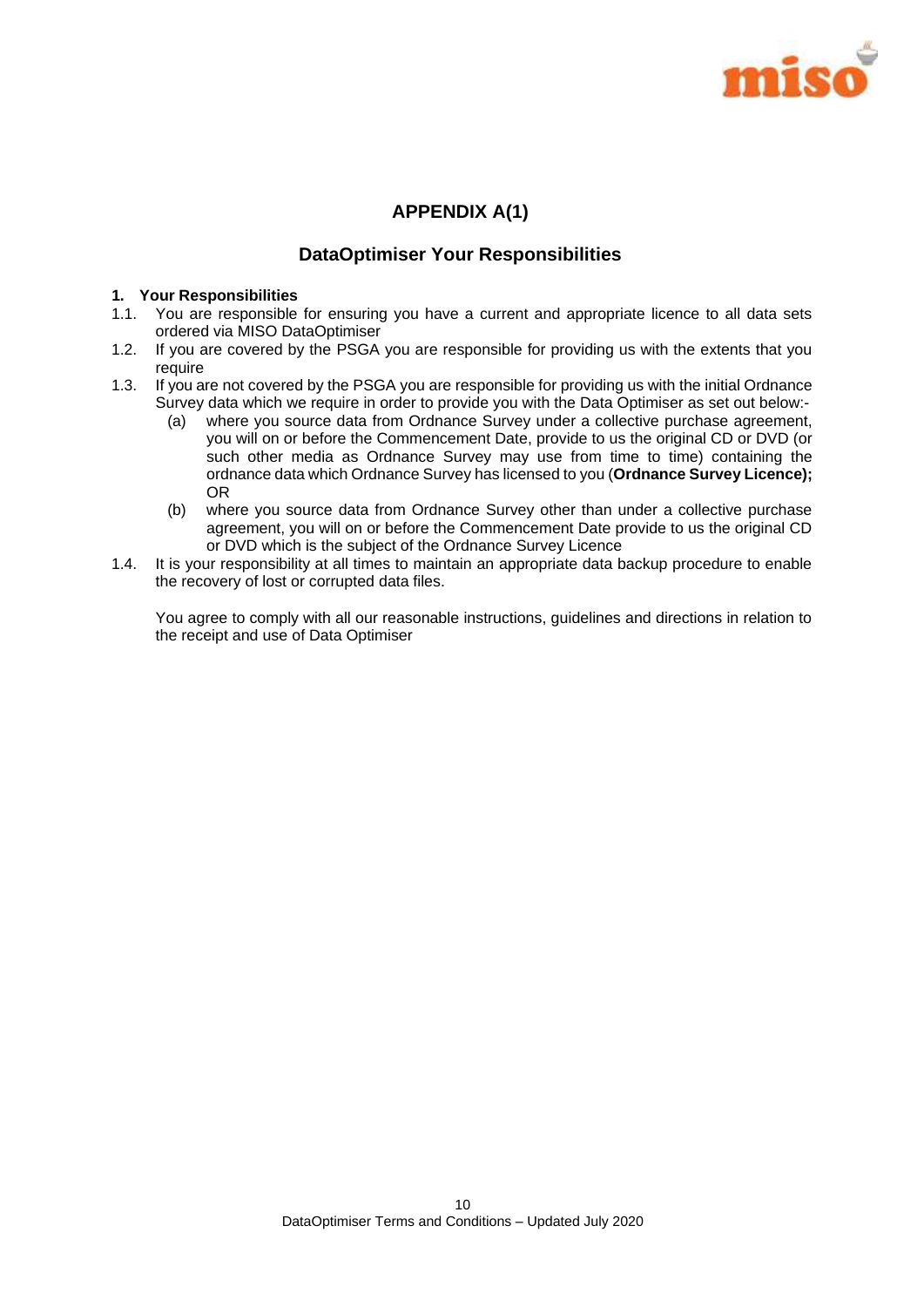

## **APPENDIX A(1)**

## **DataOptimiser Your Responsibilities**

#### **1. Your Responsibilities**

- 1.1. You are responsible for ensuring you have a current and appropriate licence to all data sets ordered via MISO DataOptimiser
- 1.2. If you are covered by the PSGA you are responsible for providing us with the extents that you require
- 1.3. If you are not covered by the PSGA you are responsible for providing us with the initial Ordnance Survey data which we require in order to provide you with the Data Optimiser as set out below:-
	- (a) where you source data from Ordnance Survey under a collective purchase agreement, you will on or before the Commencement Date, provide to us the original CD or DVD (or such other media as Ordnance Survey may use from time to time) containing the ordnance data which Ordnance Survey has licensed to you (**Ordnance Survey Licence);** OR
	- (b) where you source data from Ordnance Survey other than under a collective purchase agreement, you will on or before the Commencement Date provide to us the original CD or DVD which is the subject of the Ordnance Survey Licence
- 1.4. It is your responsibility at all times to maintain an appropriate data backup procedure to enable the recovery of lost or corrupted data files.

You agree to comply with all our reasonable instructions, guidelines and directions in relation to the receipt and use of Data Optimiser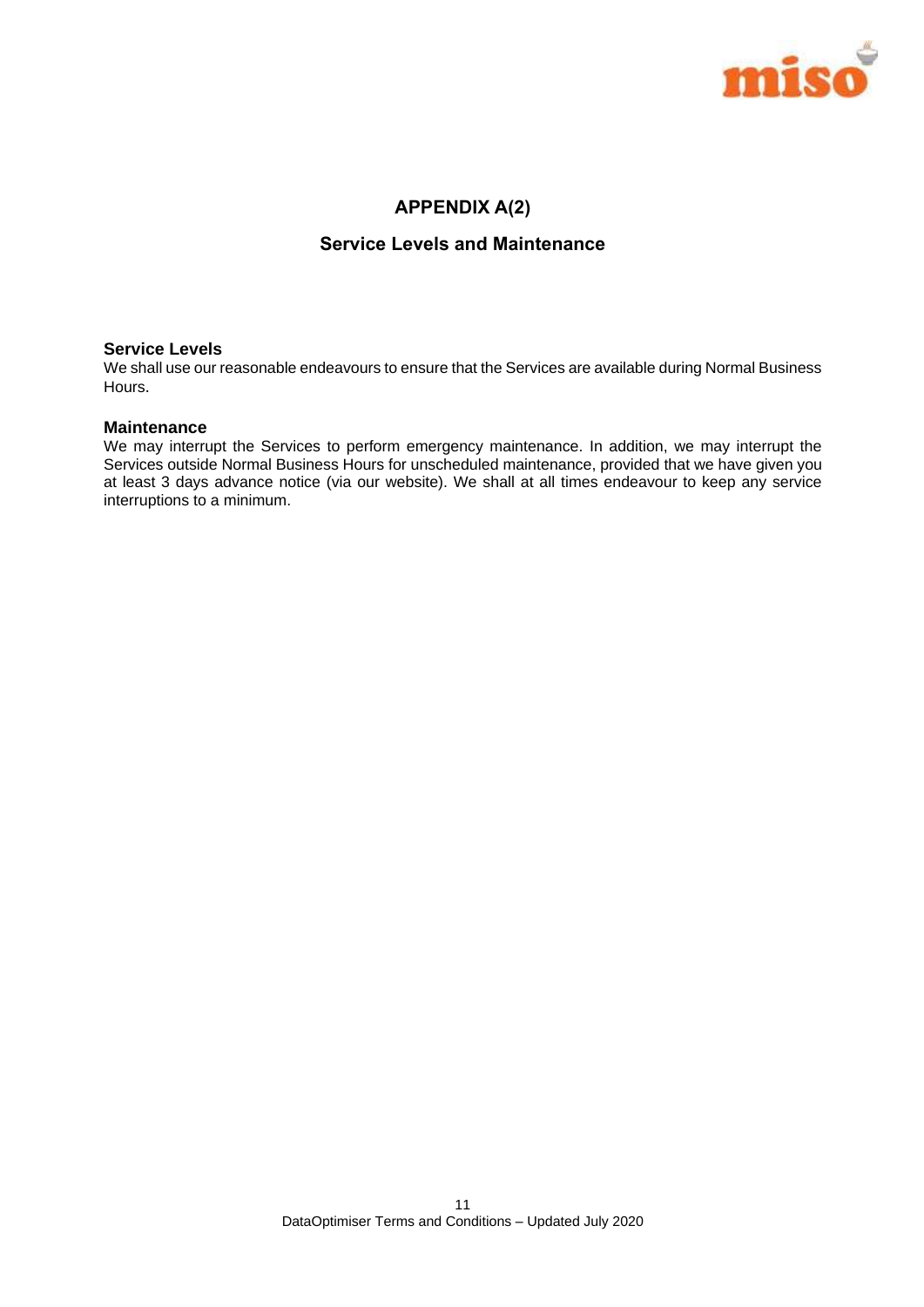

## **APPENDIX A(2)**

## **Service Levels and Maintenance**

#### **Service Levels**

We shall use our reasonable endeavours to ensure that the Services are available during Normal Business Hours.

#### **Maintenance**

We may interrupt the Services to perform emergency maintenance. In addition, we may interrupt the Services outside Normal Business Hours for unscheduled maintenance, provided that we have given you at least 3 days advance notice (via our website). We shall at all times endeavour to keep any service interruptions to a minimum.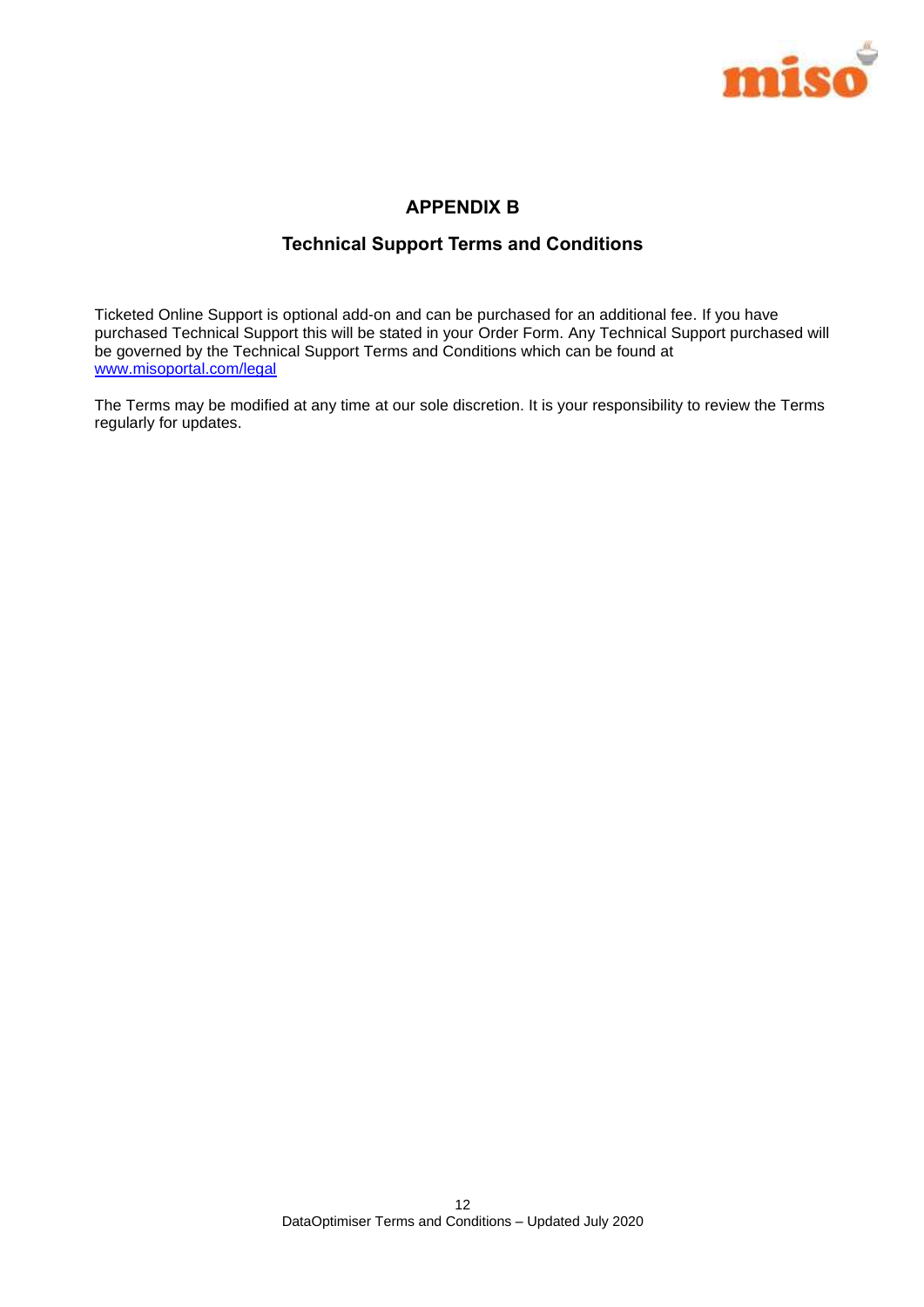

## **APPENDIX B**

## **Technical Support Terms and Conditions**

Ticketed Online Support is optional add-on and can be purchased for an additional fee. If you have purchased Technical Support this will be stated in your Order Form. Any Technical Support purchased will be governed by the Technical Support Terms and Conditions which can be found at [www.misoportal.com/legal](http://www.misoportal.com/legal)

The Terms may be modified at any time at our sole discretion. It is your responsibility to review the Terms regularly for updates.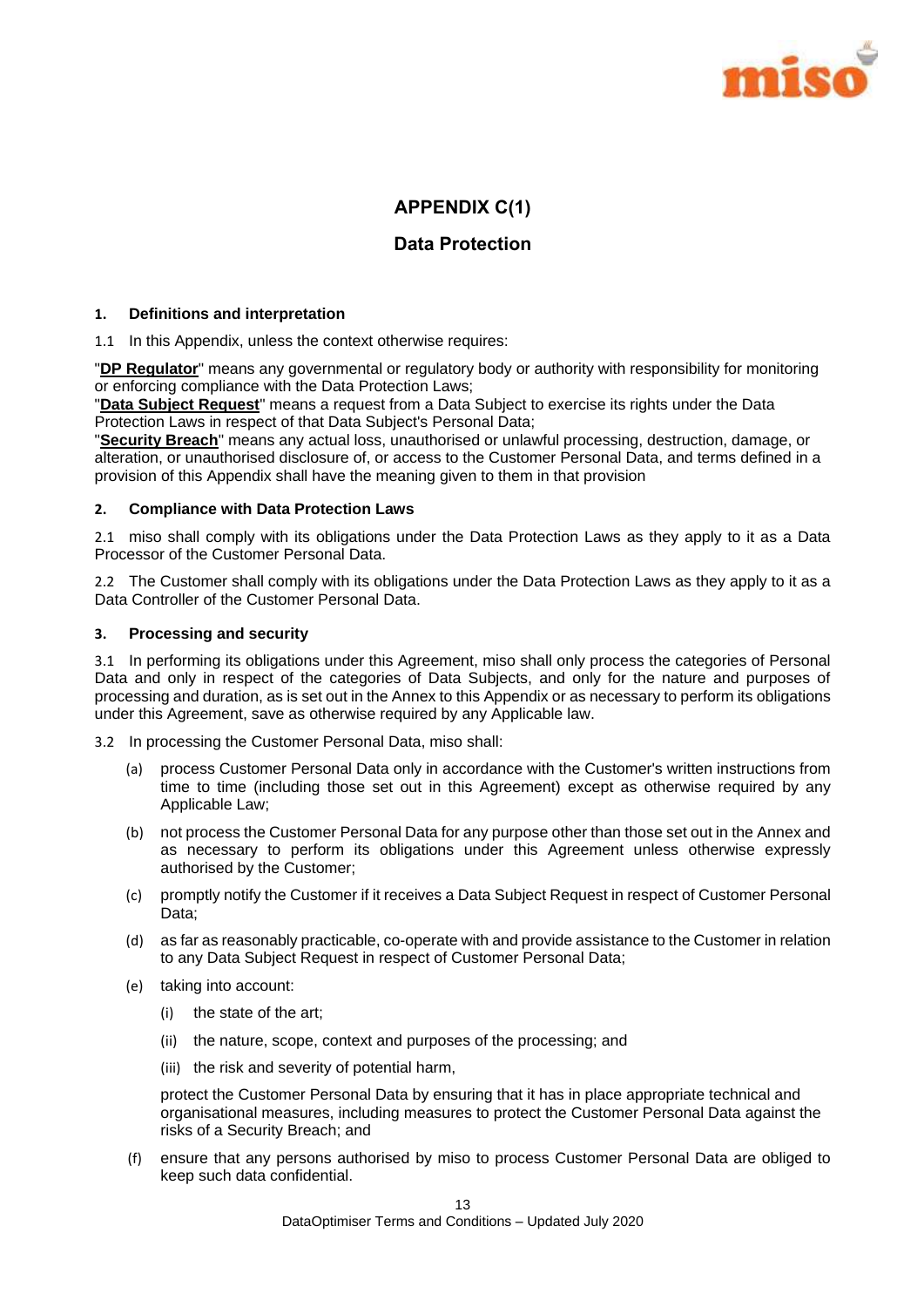

## **APPENDIX C(1)**

## **Data Protection**

#### **1. Definitions and interpretation**

1.1 In this Appendix, unless the context otherwise requires:

"**DP Regulator**" means any governmental or regulatory body or authority with responsibility for monitoring or enforcing compliance with the Data Protection Laws;

"**Data Subject Request**" means a request from a Data Subject to exercise its rights under the Data Protection Laws in respect of that Data Subject's Personal Data;

"**Security Breach**" means any actual loss, unauthorised or unlawful processing, destruction, damage, or alteration, or unauthorised disclosure of, or access to the Customer Personal Data, and terms defined in a provision of this Appendix shall have the meaning given to them in that provision

#### **2. Compliance with Data Protection Laws**

2.1 miso shall comply with its obligations under the Data Protection Laws as they apply to it as a Data Processor of the Customer Personal Data.

2.2 The Customer shall comply with its obligations under the Data Protection Laws as they apply to it as a Data Controller of the Customer Personal Data.

#### **3. Processing and security**

3.1 In performing its obligations under this Agreement, miso shall only process the categories of Personal Data and only in respect of the categories of Data Subjects, and only for the nature and purposes of processing and duration, as is set out in the Annex to this Appendix or as necessary to perform its obligations under this Agreement, save as otherwise required by any Applicable law.

3.2 In processing the Customer Personal Data, miso shall:

- (a) process Customer Personal Data only in accordance with the Customer's written instructions from time to time (including those set out in this Agreement) except as otherwise required by any Applicable Law;
- (b) not process the Customer Personal Data for any purpose other than those set out in the Annex and as necessary to perform its obligations under this Agreement unless otherwise expressly authorised by the Customer;
- (c) promptly notify the Customer if it receives a Data Subject Request in respect of Customer Personal Data:
- (d) as far as reasonably practicable, co-operate with and provide assistance to the Customer in relation to any Data Subject Request in respect of Customer Personal Data;
- (e) taking into account:
	- (i) the state of the art;
	- (ii) the nature, scope, context and purposes of the processing; and
	- (iii) the risk and severity of potential harm,

protect the Customer Personal Data by ensuring that it has in place appropriate technical and organisational measures, including measures to protect the Customer Personal Data against the risks of a Security Breach; and

(f) ensure that any persons authorised by miso to process Customer Personal Data are obliged to keep such data confidential.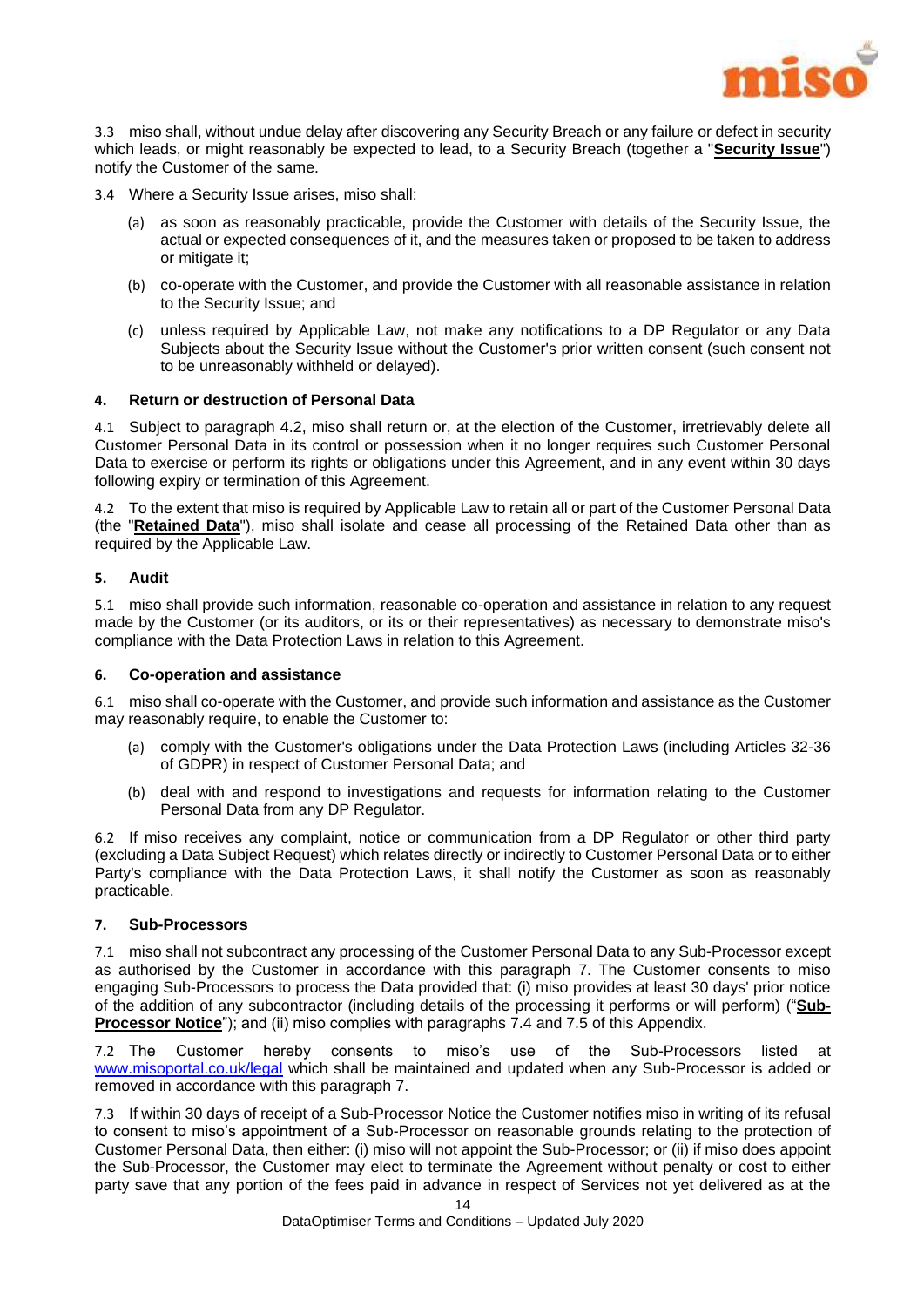

3.3 miso shall, without undue delay after discovering any Security Breach or any failure or defect in security which leads, or might reasonably be expected to lead, to a Security Breach (together a "**Security Issue**") notify the Customer of the same.

3.4 Where a Security Issue arises, miso shall:

- (a) as soon as reasonably practicable, provide the Customer with details of the Security Issue, the actual or expected consequences of it, and the measures taken or proposed to be taken to address or mitigate it;
- (b) co-operate with the Customer, and provide the Customer with all reasonable assistance in relation to the Security Issue; and
- (c) unless required by Applicable Law, not make any notifications to a DP Regulator or any Data Subjects about the Security Issue without the Customer's prior written consent (such consent not to be unreasonably withheld or delayed).

#### **4. Return or destruction of Personal Data**

4.1 Subject to paragraph [4.2,](#page-14-0) miso shall return or, at the election of the Customer, irretrievably delete all Customer Personal Data in its control or possession when it no longer requires such Customer Personal Data to exercise or perform its rights or obligations under this Agreement, and in any event within 30 days following expiry or termination of this Agreement.

<span id="page-14-0"></span>4.2 To the extent that miso is required by Applicable Law to retain all or part of the Customer Personal Data (the "**Retained Data**"), miso shall isolate and cease all processing of the Retained Data other than as required by the Applicable Law.

#### **5. Audit**

5.1 miso shall provide such information, reasonable co-operation and assistance in relation to any request made by the Customer (or its auditors, or its or their representatives) as necessary to demonstrate miso's compliance with the Data Protection Laws in relation to this Agreement.

#### **6. Co-operation and assistance**

6.1 miso shall co-operate with the Customer, and provide such information and assistance as the Customer may reasonably require, to enable the Customer to:

- (a) comply with the Customer's obligations under the Data Protection Laws (including Articles 32-36 of GDPR) in respect of Customer Personal Data; and
- (b) deal with and respond to investigations and requests for information relating to the Customer Personal Data from any DP Regulator.

6.2 If miso receives any complaint, notice or communication from a DP Regulator or other third party (excluding a Data Subject Request) which relates directly or indirectly to Customer Personal Data or to either Party's compliance with the Data Protection Laws, it shall notify the Customer as soon as reasonably practicable.

#### <span id="page-14-1"></span>**7. Sub-Processors**

7.1 miso shall not subcontract any processing of the Customer Personal Data to any Sub-Processor except as authorised by the Customer in accordance with this paragraph [7.](#page-14-1) The Customer consents to miso engaging Sub-Processors to process the Data provided that: (i) miso provides at least 30 days' prior notice of the addition of any subcontractor (including details of the processing it performs or will perform) ("**Sub-Processor Notice**"); and (ii) miso complies with paragraphs [7.4](#page-15-0) and [7.5](#page-15-1) of this Appendix.

7.2 The Customer hereby consents to miso's use of the Sub-Processors listed at [www.misoportal.co.uk/legal](http://www.misoportal.co.uk/legal) which shall be maintained and updated when any Sub-Processor is added or removed in accordance with this paragraph [7.](#page-14-1)

7.3 If within 30 days of receipt of a Sub-Processor Notice the Customer notifies miso in writing of its refusal to consent to miso's appointment of a Sub-Processor on reasonable grounds relating to the protection of Customer Personal Data, then either: (i) miso will not appoint the Sub-Processor; or (ii) if miso does appoint the Sub-Processor, the Customer may elect to terminate the Agreement without penalty or cost to either party save that any portion of the fees paid in advance in respect of Services not yet delivered as at the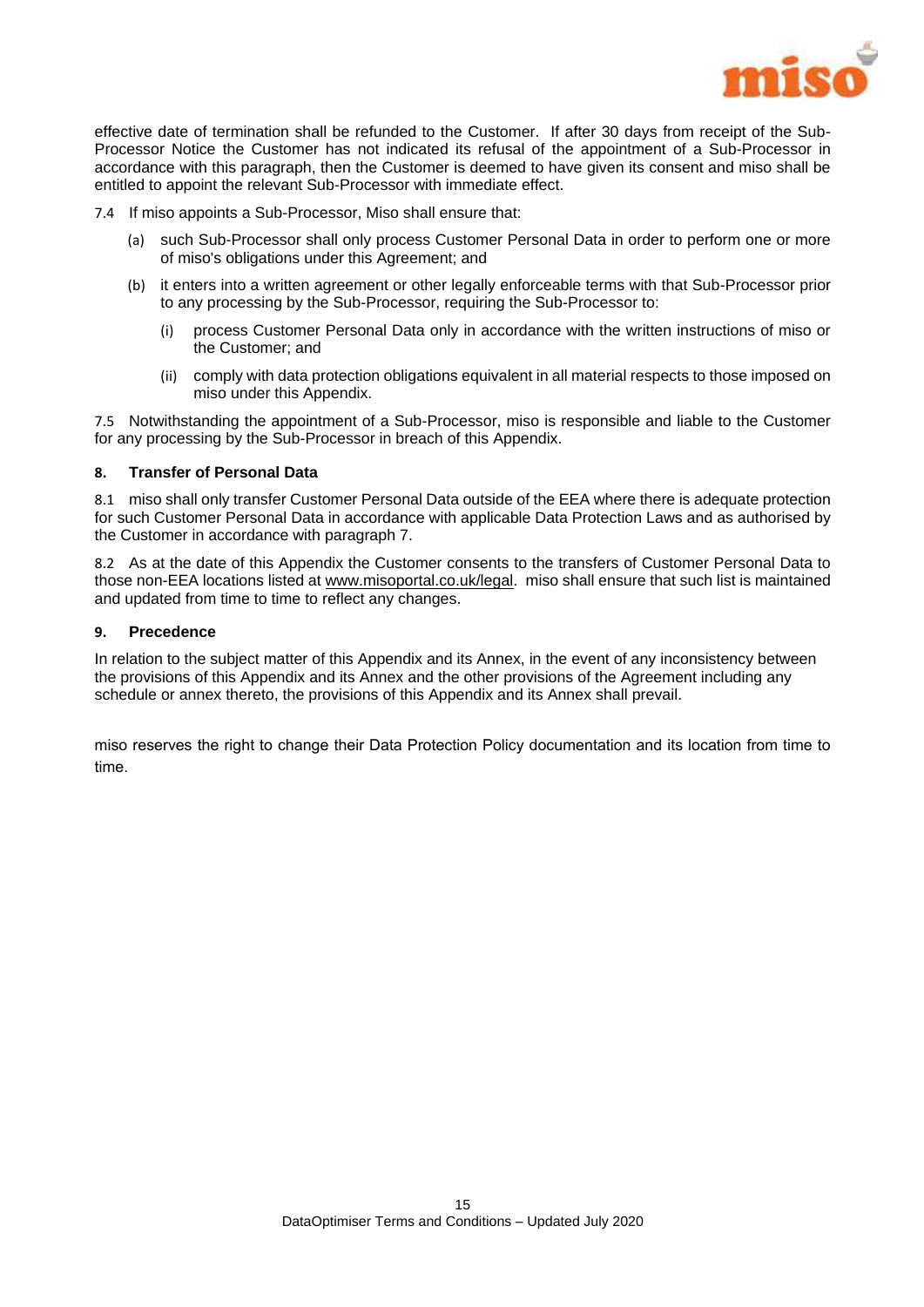

effective date of termination shall be refunded to the Customer. If after 30 days from receipt of the Sub-Processor Notice the Customer has not indicated its refusal of the appointment of a Sub-Processor in accordance with this paragraph, then the Customer is deemed to have given its consent and miso shall be entitled to appoint the relevant Sub-Processor with immediate effect.

<span id="page-15-0"></span>7.4 If miso appoints a Sub-Processor, Miso shall ensure that:

- (a) such Sub-Processor shall only process Customer Personal Data in order to perform one or more of miso's obligations under this Agreement; and
- (b) it enters into a written agreement or other legally enforceable terms with that Sub-Processor prior to any processing by the Sub-Processor, requiring the Sub-Processor to:
	- (i) process Customer Personal Data only in accordance with the written instructions of miso or the Customer; and
	- (ii) comply with data protection obligations equivalent in all material respects to those imposed on miso under this Appendix.

<span id="page-15-1"></span>7.5 Notwithstanding the appointment of a Sub-Processor, miso is responsible and liable to the Customer for any processing by the Sub-Processor in breach of this Appendix.

#### **8. Transfer of Personal Data**

8.1 miso shall only transfer Customer Personal Data outside of the EEA where there is adequate protection for such Customer Personal Data in accordance with applicable Data Protection Laws and as authorised by the Customer in accordance with paragraph 7.

8.2 As at the date of this Appendix the Customer consents to the transfers of Customer Personal Data to those non-EEA locations listed a[t www.misoportal.co.uk/legal.](http://www.misoportal.co.uk/legal) miso shall ensure that such list is maintained and updated from time to time to reflect any changes.

#### **9. Precedence**

In relation to the subject matter of this Appendix and its Annex, in the event of any inconsistency between the provisions of this Appendix and its Annex and the other provisions of the Agreement including any schedule or annex thereto, the provisions of this Appendix and its Annex shall prevail.

miso reserves the right to change their Data Protection Policy documentation and its location from time to time.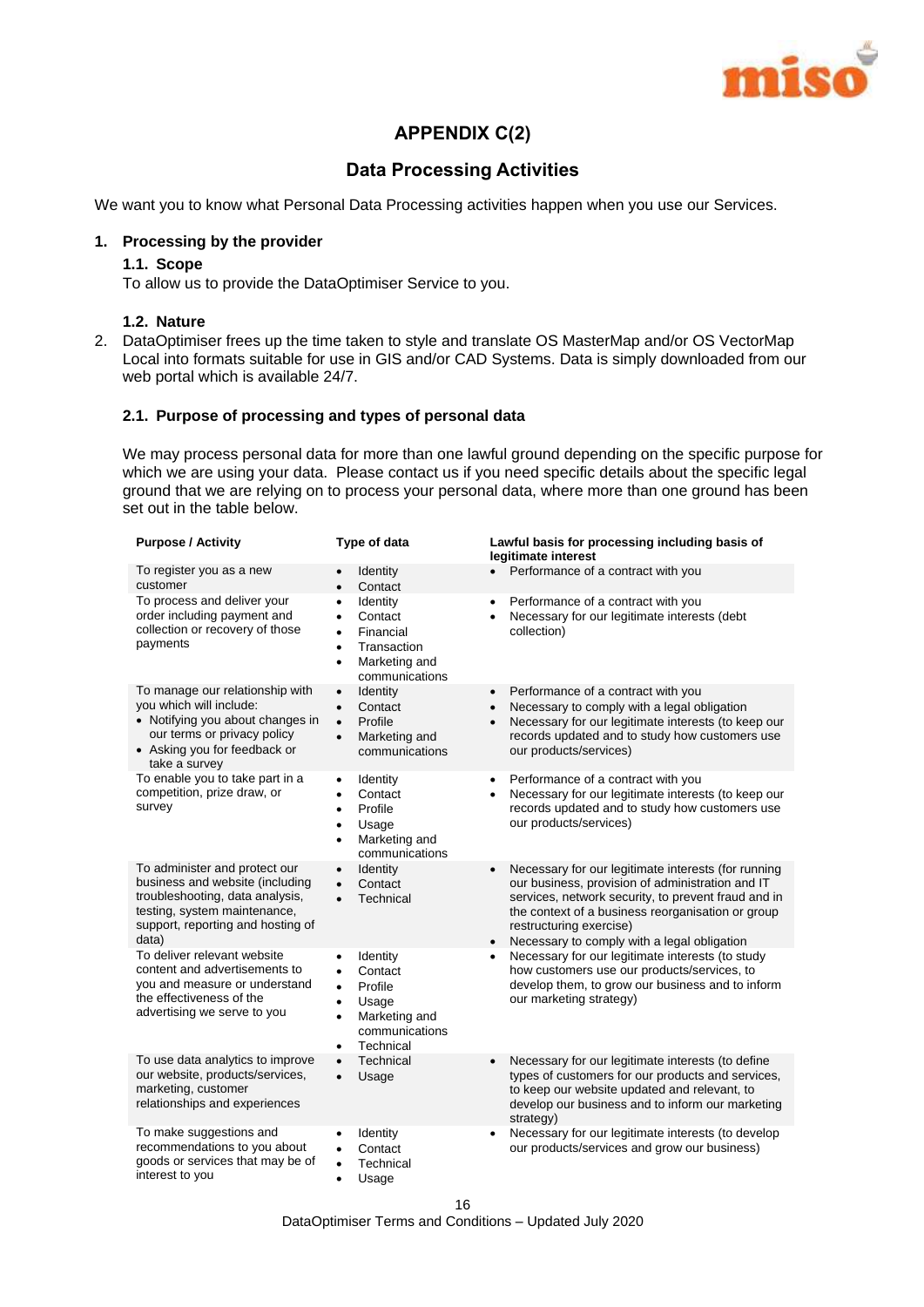

## **APPENDIX C(2)**

## **Data Processing Activities**

We want you to know what Personal Data Processing activities happen when you use our Services.

#### **1. Processing by the provider**

#### **1.1. Scope**

To allow us to provide the DataOptimiser Service to you.

#### **1.2. Nature**

2. DataOptimiser frees up the time taken to style and translate OS MasterMap and/or OS VectorMap Local into formats suitable for use in GIS and/or CAD Systems. Data is simply downloaded from our web portal which is available 24/7.

#### **2.1. Purpose of processing and types of personal data**

We may process personal data for more than one lawful ground depending on the specific purpose for which we are using your data. Please contact us if you need specific details about the specific legal ground that we are relying on to process your personal data, where more than one ground has been set out in the table below.

| <b>Purpose / Activity</b>                                                                                                                                                         | Type of data                                                                                                                                                  | Lawful basis for processing including basis of<br>legitimate interest                                                                                                                                                                                                                                                   |
|-----------------------------------------------------------------------------------------------------------------------------------------------------------------------------------|---------------------------------------------------------------------------------------------------------------------------------------------------------------|-------------------------------------------------------------------------------------------------------------------------------------------------------------------------------------------------------------------------------------------------------------------------------------------------------------------------|
| To register you as a new<br>customer                                                                                                                                              | Identity<br>Contact<br>$\bullet$                                                                                                                              | Performance of a contract with you                                                                                                                                                                                                                                                                                      |
| To process and deliver your<br>order including payment and<br>collection or recovery of those<br>payments                                                                         | <b>Identity</b><br>$\bullet$<br>Contact<br>٠<br>Financial<br>$\bullet$<br>Transaction<br>$\bullet$<br>Marketing and<br>$\bullet$<br>communications            | Performance of a contract with you<br>$\bullet$<br>Necessary for our legitimate interests (debt<br>collection)                                                                                                                                                                                                          |
| To manage our relationship with<br>you which will include:<br>• Notifying you about changes in<br>our terms or privacy policy<br>• Asking you for feedback or<br>take a survey    | <b>Identity</b><br>$\bullet$<br>Contact<br>$\bullet$<br>Profile<br>$\bullet$<br>Marketing and<br>$\bullet$<br>communications                                  | Performance of a contract with you<br>$\bullet$<br>Necessary to comply with a legal obligation<br>$\bullet$<br>Necessary for our legitimate interests (to keep our<br>$\bullet$<br>records updated and to study how customers use<br>our products/services)                                                             |
| To enable you to take part in a<br>competition, prize draw, or<br>survey                                                                                                          | Identity<br>$\bullet$<br>Contact<br>$\bullet$<br>Profile<br>$\bullet$<br>Usage<br>$\bullet$<br>Marketing and<br>$\bullet$<br>communications                   | Performance of a contract with you<br>$\bullet$<br>Necessary for our legitimate interests (to keep our<br>$\bullet$<br>records updated and to study how customers use<br>our products/services)                                                                                                                         |
| To administer and protect our<br>business and website (including<br>troubleshooting, data analysis,<br>testing, system maintenance,<br>support, reporting and hosting of<br>data) | Identity<br>$\bullet$<br>Contact<br>$\bullet$<br>Technical<br>$\bullet$                                                                                       | Necessary for our legitimate interests (for running<br>$\bullet$<br>our business, provision of administration and IT<br>services, network security, to prevent fraud and in<br>the context of a business reorganisation or group<br>restructuring exercise)<br>Necessary to comply with a legal obligation<br>$\bullet$ |
| To deliver relevant website<br>content and advertisements to<br>you and measure or understand<br>the effectiveness of the<br>advertising we serve to you                          | Identity<br>$\bullet$<br>Contact<br>$\bullet$<br>Profile<br>$\bullet$<br>Usage<br>٠<br>Marketing and<br>$\bullet$<br>communications<br>Technical<br>$\bullet$ | Necessary for our legitimate interests (to study<br>how customers use our products/services, to<br>develop them, to grow our business and to inform<br>our marketing strategy)                                                                                                                                          |
| To use data analytics to improve<br>our website, products/services,<br>marketing, customer<br>relationships and experiences                                                       | Technical<br>$\bullet$<br>Usage<br>$\bullet$                                                                                                                  | Necessary for our legitimate interests (to define<br>$\bullet$<br>types of customers for our products and services,<br>to keep our website updated and relevant, to<br>develop our business and to inform our marketing<br>strategy)                                                                                    |
| To make suggestions and<br>recommendations to you about<br>goods or services that may be of<br>interest to you                                                                    | Identity<br>$\bullet$<br>Contact<br>$\bullet$<br>Technical<br>$\bullet$<br>Usage<br>$\bullet$                                                                 | Necessary for our legitimate interests (to develop<br>$\bullet$<br>our products/services and grow our business)                                                                                                                                                                                                         |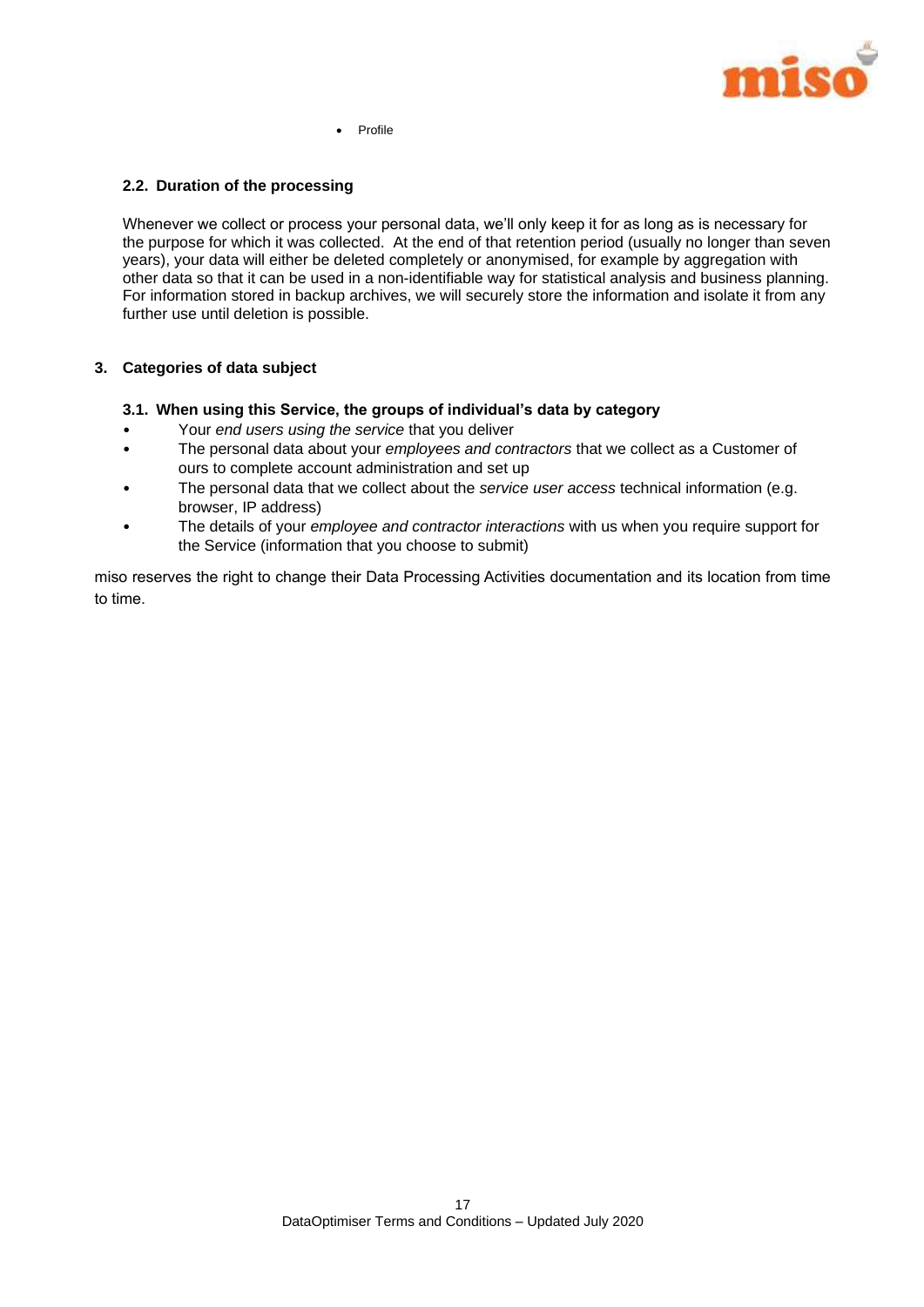

Profile

#### **2.2. Duration of the processing**

Whenever we collect or process your personal data, we'll only keep it for as long as is necessary for the purpose for which it was collected. At the end of that retention period (usually no longer than seven years), your data will either be deleted completely or anonymised, for example by aggregation with other data so that it can be used in a non-identifiable way for statistical analysis and business planning. For information stored in backup archives, we will securely store the information and isolate it from any further use until deletion is possible.

#### **3. Categories of data subject**

- **3.1. When using this Service, the groups of individual's data by category**
- Your *end users using the service* that you deliver
- The personal data about your *employees and contractors* that we collect as a Customer of ours to complete account administration and set up
- The personal data that we collect about the *service user access* technical information (e.g. browser, IP address)
- The details of your *employee and contractor interactions* with us when you require support for the Service (information that you choose to submit)

miso reserves the right to change their Data Processing Activities documentation and its location from time to time.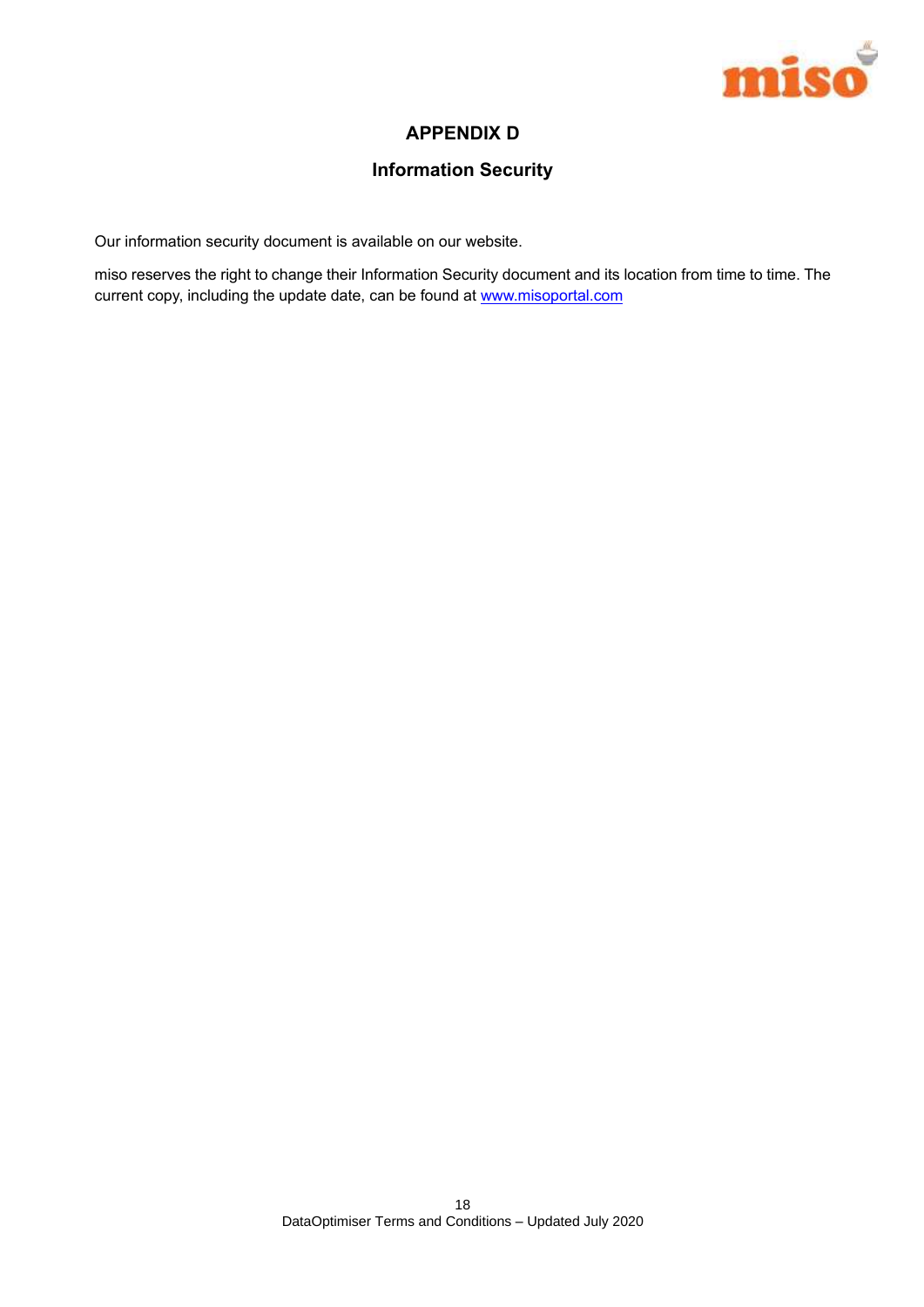

## **APPENDIX D**

## **Information Security**

Our information security document is available on our website.

miso reserves the right to change their Information Security document and its location from time to time. The current copy, including the update date, can be found at www.misoportal.com